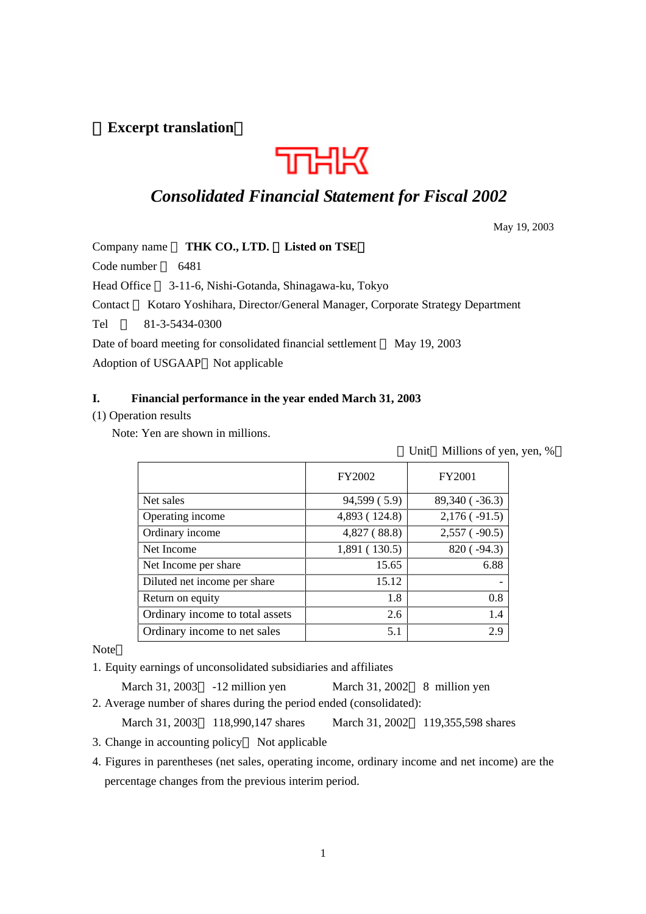# (**Excerpt translation**)



# *Consolidated Financial Statement for Fiscal 2002*

May 19, 2003

Company name **THK CO., LTD.** Listed on TSE

Code number 6481

Head Office 3-11-6, Nishi-Gotanda, Shinagawa-ku, Tokyo

Contact Kotaro Yoshihara, Director/General Manager, Corporate Strategy Department

Tel 81-3-5434-0300

Date of board meeting for consolidated financial settlement May 19, 2003

Adoption of USGAAP Not applicable

## **I. Financial performance in the year ended March 31, 2003**

## (1) Operation results

Note: Yen are shown in millions.

Unit Millions of yen, yen, %

|                                 | FY2002        | FY2001              |
|---------------------------------|---------------|---------------------|
| Net sales                       | 94,599 (5.9)  | 89,340 ( $-36.3$ )  |
| Operating income                | 4,893 (124.8) | $2,176$ ( $-91.5$ ) |
| Ordinary income                 | 4,827(88.8)   | $2,557$ ( $-90.5$ ) |
| Net Income                      | 1,891 (130.5) | $820(-94.3)$        |
| Net Income per share            | 15.65         | 6.88                |
| Diluted net income per share    | 15.12         |                     |
| Return on equity                | 1.8           | 0.8                 |
| Ordinary income to total assets | 2.6           | 1.4                 |
| Ordinary income to net sales    | 5.1           | 2.9                 |

Note

1. Equity earnings of unconsolidated subsidiaries and affiliates

March 31, 2003 -12 million yen March 31, 2002 8 million yen 2. Average number of shares during the period ended (consolidated):

March 31, 2003 118,990,147 shares March 31, 2002 119,355,598 shares

3. Change in accounting policy Not applicable

4. Figures in parentheses (net sales, operating income, ordinary income and net income) are the percentage changes from the previous interim period.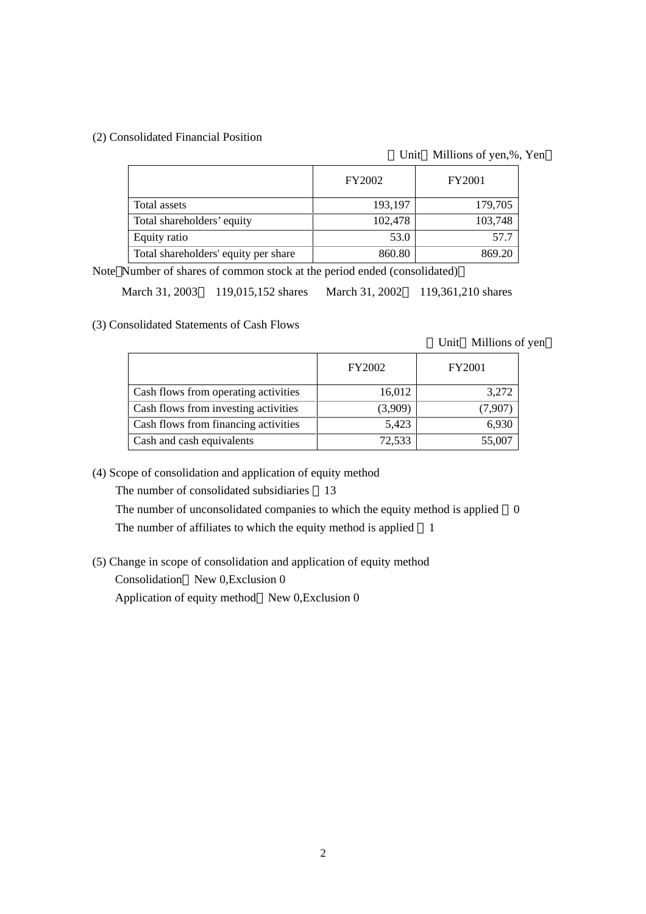## (2) Consolidated Financial Position

Unit Millions of yen,%, Yen

|                                      | <b>FY2002</b> | <b>FY2001</b> |
|--------------------------------------|---------------|---------------|
| Total assets                         | 193,197       | 179,705       |
| Total shareholders' equity           | 102,478       | 103,748       |
| Equity ratio                         | 53.0          | 57.7          |
| Total shareholders' equity per share | 860.80        | 869.20        |

Note Number of shares of common stock at the period ended (consolidated)

March 31, 2003 119,015,152 shares March 31, 2002 119,361,210 shares

(3) Consolidated Statements of Cash Flows

Unit Millions of yen

|                                      | <b>FY2002</b> | <b>FY2001</b> |
|--------------------------------------|---------------|---------------|
| Cash flows from operating activities | 16,012        | 3,272         |
| Cash flows from investing activities | (3,909)       | (7,907)       |
| Cash flows from financing activities | 5,423         | 6,930         |
| Cash and cash equivalents            | 72,533        | 55,007        |

(4) Scope of consolidation and application of equity method

The number of consolidated subsidiaries 13

The number of unconsolidated companies to which the equity method is applied 0

The number of affiliates to which the equity method is applied 1

(5) Change in scope of consolidation and application of equity method

Consolidation New 0,Exclusion 0

Application of equity method New 0,Exclusion 0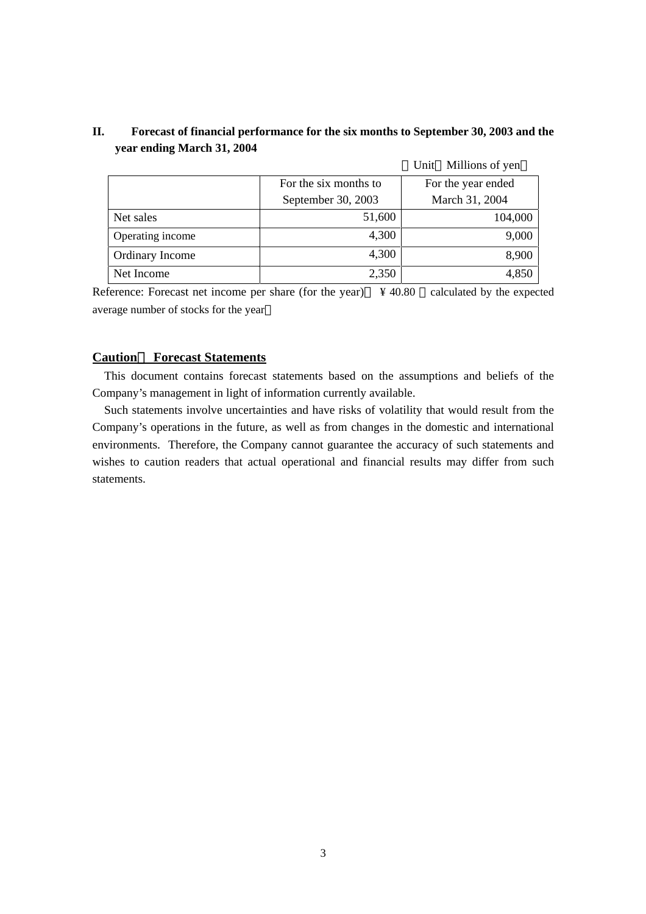|                  |                       | Unit Millions of yen |
|------------------|-----------------------|----------------------|
|                  | For the six months to | For the year ended   |
|                  | September 30, 2003    | March 31, 2004       |
| Net sales        | 51,600                | 104,000              |
| Operating income | 4,300                 | 9,000                |
| Ordinary Income  | 4,300                 | 8,900                |
| Net Income       | 2,350                 | 4,850                |

# **II. Forecast of financial performance for the six months to September 30, 2003 and the year ending March 31, 2004**

Reference: Forecast net income per share (for the year) \ \ \ \ 40.80 \ \ calculated by the expected average number of stocks for the year

# **Caution**: **Forecast Statements**

This document contains forecast statements based on the assumptions and beliefs of the Company's management in light of information currently available.

Such statements involve uncertainties and have risks of volatility that would result from the Company's operations in the future, as well as from changes in the domestic and international environments. Therefore, the Company cannot guarantee the accuracy of such statements and wishes to caution readers that actual operational and financial results may differ from such statements.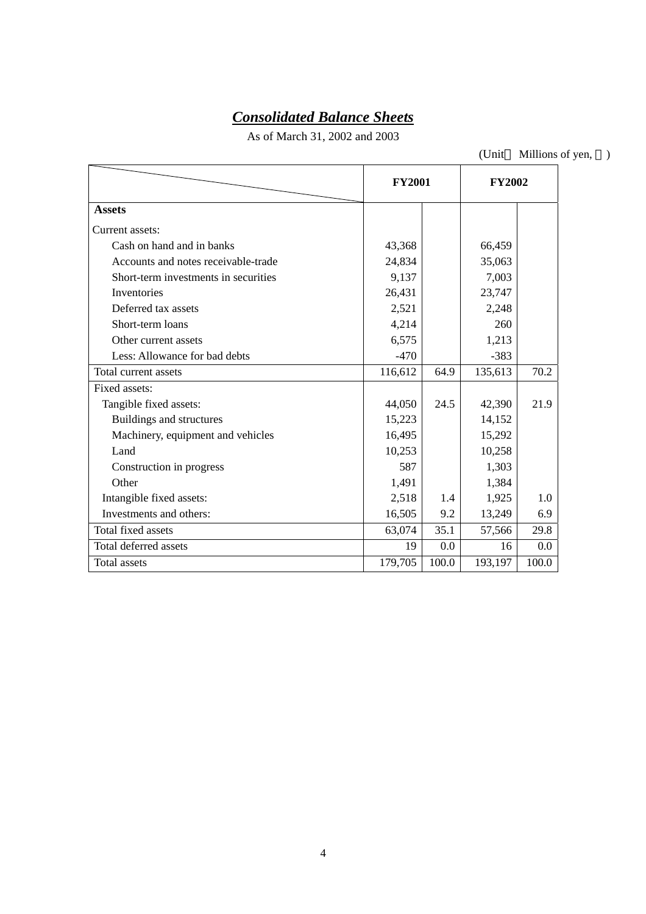# *Consolidated Balance Sheets*

As of March 31, 2002 and 2003

(Unit Millions of yen, )

|                                      | <b>FY2001</b> |       | <b>FY2002</b> |       |
|--------------------------------------|---------------|-------|---------------|-------|
| <b>Assets</b>                        |               |       |               |       |
| Current assets:                      |               |       |               |       |
| Cash on hand and in banks            | 43,368        |       | 66,459        |       |
| Accounts and notes receivable-trade  | 24,834        |       | 35,063        |       |
| Short-term investments in securities | 9,137         |       | 7,003         |       |
| Inventories                          | 26,431        |       | 23,747        |       |
| Deferred tax assets                  | 2,521         |       | 2,248         |       |
| Short-term loans                     | 4,214         |       | 260           |       |
| Other current assets                 | 6,575         |       | 1,213         |       |
| Less: Allowance for bad debts        | $-470$        |       | $-383$        |       |
| Total current assets                 | 116,612       | 64.9  | 135,613       | 70.2  |
| Fixed assets:                        |               |       |               |       |
| Tangible fixed assets:               | 44,050        | 24.5  | 42,390        | 21.9  |
| Buildings and structures             | 15,223        |       | 14,152        |       |
| Machinery, equipment and vehicles    | 16,495        |       | 15,292        |       |
| Land                                 | 10,253        |       | 10,258        |       |
| Construction in progress             | 587           |       | 1,303         |       |
| Other                                | 1,491         |       | 1,384         |       |
| Intangible fixed assets:             | 2,518         | 1.4   | 1,925         | 1.0   |
| Investments and others:              | 16,505        | 9.2   | 13,249        | 6.9   |
| Total fixed assets                   | 63,074        | 35.1  | 57,566        | 29.8  |
| Total deferred assets                | 19            | 0.0   | 16            | 0.0   |
| Total assets                         | 179,705       | 100.0 | 193,197       | 100.0 |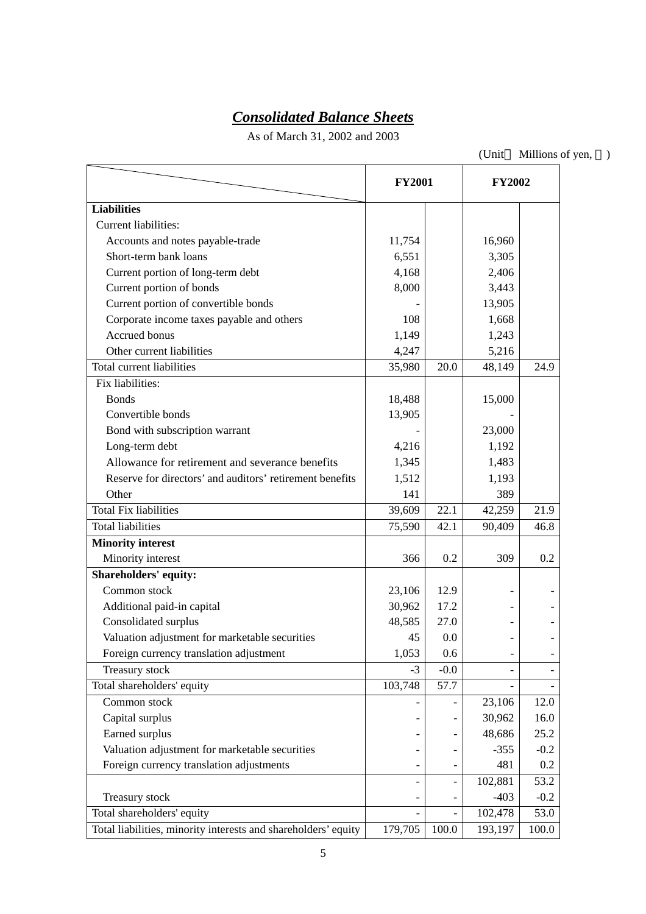# *Consolidated Balance Sheets*

As of March 31, 2002 and 2003

(Unit Millions of yen, )

|                                                                | <b>FY2001</b> |        | <b>FY2002</b> |        |
|----------------------------------------------------------------|---------------|--------|---------------|--------|
| <b>Liabilities</b>                                             |               |        |               |        |
| Current liabilities:                                           |               |        |               |        |
| Accounts and notes payable-trade                               | 11,754        |        | 16,960        |        |
| Short-term bank loans                                          | 6,551         |        | 3,305         |        |
| Current portion of long-term debt                              | 4,168         |        | 2,406         |        |
| Current portion of bonds                                       | 8,000         |        | 3,443         |        |
| Current portion of convertible bonds                           |               |        | 13,905        |        |
| Corporate income taxes payable and others                      | 108           |        | 1,668         |        |
| Accrued bonus                                                  | 1,149         |        | 1,243         |        |
| Other current liabilities                                      | 4,247         |        | 5,216         |        |
| Total current liabilities                                      | 35,980        | 20.0   | 48,149        | 24.9   |
| Fix liabilities:                                               |               |        |               |        |
| <b>Bonds</b>                                                   | 18,488        |        | 15,000        |        |
| Convertible bonds                                              | 13,905        |        |               |        |
| Bond with subscription warrant                                 |               |        | 23,000        |        |
| Long-term debt                                                 | 4,216         |        | 1,192         |        |
| Allowance for retirement and severance benefits                | 1,345         |        | 1,483         |        |
| Reserve for directors' and auditors' retirement benefits       | 1,512         |        | 1,193         |        |
| Other                                                          | 141           |        | 389           |        |
| <b>Total Fix liabilities</b>                                   | 39,609        | 22.1   | 42,259        | 21.9   |
| <b>Total liabilities</b>                                       | 75,590        | 42.1   | 90,409        | 46.8   |
| <b>Minority interest</b>                                       |               |        |               |        |
| Minority interest                                              | 366           | 0.2    | 309           | 0.2    |
| Shareholders' equity:                                          |               |        |               |        |
| Common stock                                                   | 23,106        | 12.9   |               |        |
| Additional paid-in capital                                     | 30,962        | 17.2   |               |        |
| Consolidated surplus                                           | 48,585        | 27.0   |               |        |
| Valuation adjustment for marketable securities                 | 45            | 0.0    |               |        |
| Foreign currency translation adjustment                        | 1,053         | 0.6    |               |        |
| Treasury stock                                                 | $-3$          | $-0.0$ |               |        |
| Total shareholders' equity                                     | 103,748       | 57.7   |               |        |
| Common stock                                                   |               |        | 23,106        | 12.0   |
| Capital surplus                                                |               |        | 30,962        | 16.0   |
| Earned surplus                                                 |               |        | 48,686        | 25.2   |
| Valuation adjustment for marketable securities                 |               |        | $-355$        | $-0.2$ |
| Foreign currency translation adjustments                       |               |        | 481           | 0.2    |
|                                                                |               |        | 102,881       | 53.2   |
| Treasury stock                                                 |               |        | $-403$        | $-0.2$ |
| Total shareholders' equity                                     |               |        | 102,478       | 53.0   |
| Total liabilities, minority interests and shareholders' equity | 179,705       | 100.0  | 193,197       | 100.0  |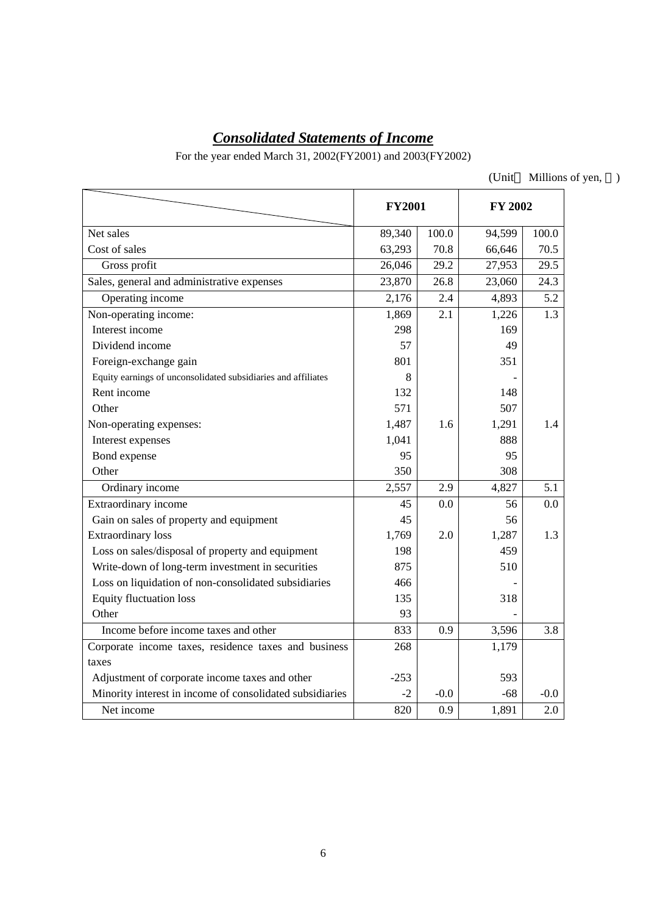# *Consolidated Statements of Income*

For the year ended March 31, 2002(FY2001) and 2003(FY2002)

(Unit Millions of yen, )

|                                                               | <b>FY2001</b> |        | FY 2002 |         |
|---------------------------------------------------------------|---------------|--------|---------|---------|
| Net sales                                                     | 89,340        | 100.0  | 94,599  | 100.0   |
| Cost of sales                                                 | 63,293        | 70.8   | 66,646  | 70.5    |
| Gross profit                                                  | 26,046        | 29.2   | 27,953  | 29.5    |
| Sales, general and administrative expenses                    | 23,870        | 26.8   | 23,060  | 24.3    |
| Operating income                                              | 2,176         | 2.4    | 4,893   | 5.2     |
| Non-operating income:                                         | 1,869         | 2.1    | 1,226   | 1.3     |
| Interest income                                               | 298           |        | 169     |         |
| Dividend income                                               | 57            |        | 49      |         |
| Foreign-exchange gain                                         | 801           |        | 351     |         |
| Equity earnings of unconsolidated subsidiaries and affiliates | 8             |        |         |         |
| Rent income                                                   | 132           |        | 148     |         |
| Other                                                         | 571           |        | 507     |         |
| Non-operating expenses:                                       | 1,487         | 1.6    | 1,291   | 1.4     |
| Interest expenses                                             | 1,041         |        | 888     |         |
| Bond expense                                                  | 95            |        | 95      |         |
| Other                                                         | 350           |        | 308     |         |
| Ordinary income                                               | 2,557         | 2.9    | 4,827   | 5.1     |
| Extraordinary income                                          | 45            | 0.0    | 56      | 0.0     |
| Gain on sales of property and equipment                       | 45            |        | 56      |         |
| <b>Extraordinary</b> loss                                     | 1,769         | 2.0    | 1,287   | 1.3     |
| Loss on sales/disposal of property and equipment              | 198           |        | 459     |         |
| Write-down of long-term investment in securities              | 875           |        | 510     |         |
| Loss on liquidation of non-consolidated subsidiaries          | 466           |        |         |         |
| <b>Equity fluctuation loss</b>                                | 135           |        | 318     |         |
| Other                                                         | 93            |        |         |         |
| Income before income taxes and other                          | 833           | 0.9    | 3,596   | 3.8     |
| Corporate income taxes, residence taxes and business          | 268           |        | 1,179   |         |
| taxes                                                         |               |        |         |         |
| Adjustment of corporate income taxes and other                | $-253$        |        | 593     |         |
| Minority interest in income of consolidated subsidiaries      | $-2$          | $-0.0$ | $-68$   | $-0.0$  |
| Net income                                                    | 820           | 0.9    | 1,891   | $2.0\,$ |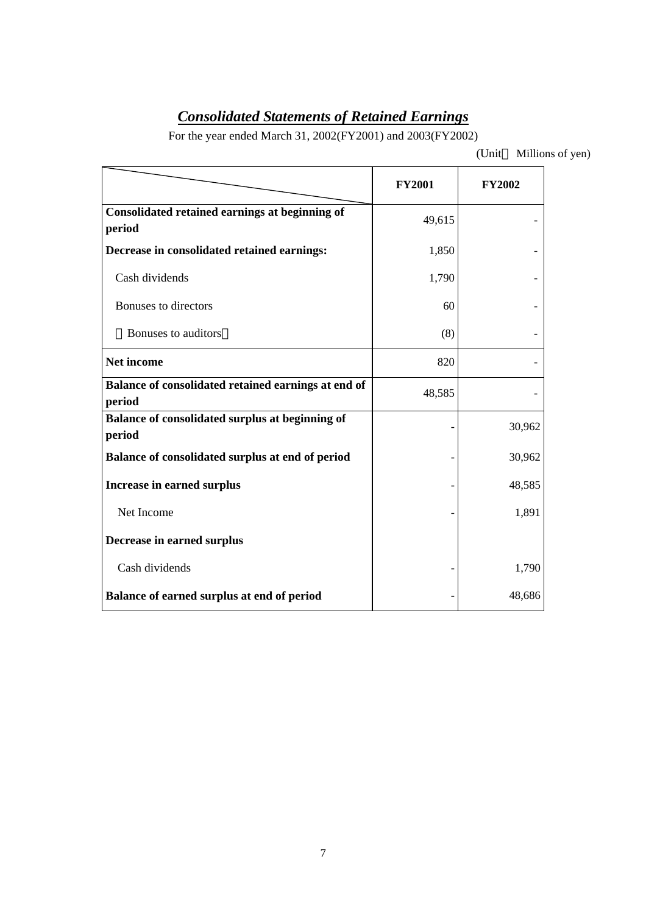# *Consolidated Statements of Retained Earnings*

For the year ended March 31, 2002(FY2001) and 2003(FY2002)

(Unit Millions of yen)

|                                                               | <b>FY2001</b> | <b>FY2002</b> |
|---------------------------------------------------------------|---------------|---------------|
| Consolidated retained earnings at beginning of<br>period      | 49,615        |               |
| Decrease in consolidated retained earnings:                   | 1,850         |               |
| Cash dividends                                                | 1,790         |               |
| Bonuses to directors                                          | 60            |               |
| Bonuses to auditors                                           | (8)           |               |
| Net income                                                    | 820           |               |
| Balance of consolidated retained earnings at end of<br>period | 48,585        |               |
| Balance of consolidated surplus at beginning of<br>period     |               | 30,962        |
| Balance of consolidated surplus at end of period              |               | 30,962        |
| <b>Increase in earned surplus</b>                             |               | 48,585        |
| Net Income                                                    |               | 1,891         |
| Decrease in earned surplus                                    |               |               |
| Cash dividends                                                |               | 1,790         |
| Balance of earned surplus at end of period                    |               | 48,686        |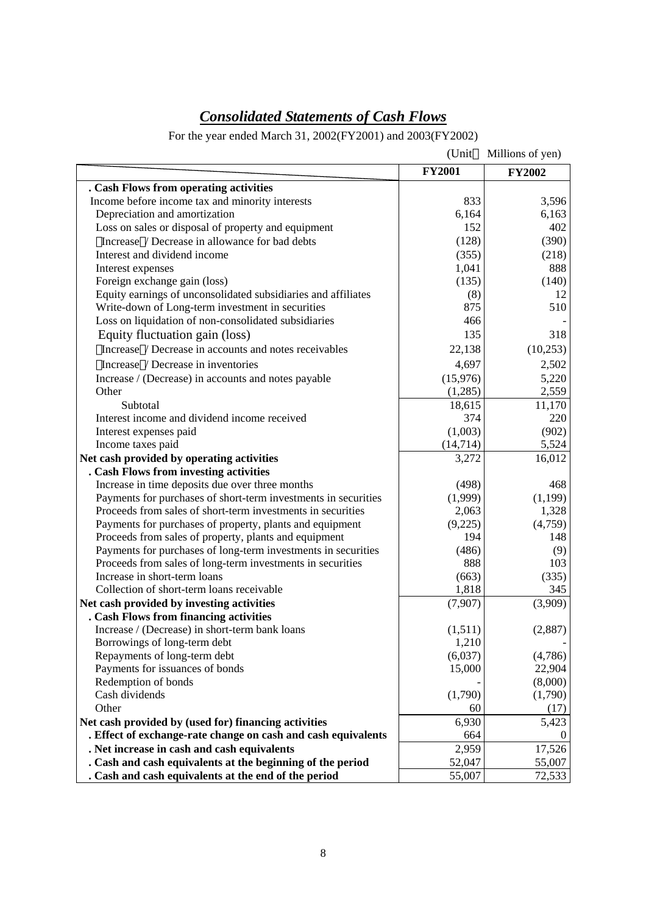# *Consolidated Statements of Cash Flows*

For the year ended March 31, 2002(FY2001) and 2003(FY2002)

|                                                                | (Unit         | Millions of yen) |
|----------------------------------------------------------------|---------------|------------------|
|                                                                | <b>FY2001</b> | <b>FY2002</b>    |
| . Cash Flows from operating activities                         |               |                  |
| Income before income tax and minority interests                | 833           | 3,596            |
| Depreciation and amortization                                  | 6,164         | 6,163            |
| Loss on sales or disposal of property and equipment            | 152           | 402              |
| Increase / Decrease in allowance for bad debts                 | (128)         | (390)            |
| Interest and dividend income                                   | (355)         | (218)            |
| Interest expenses                                              | 1,041         | 888              |
| Foreign exchange gain (loss)                                   | (135)         | (140)            |
| Equity earnings of unconsolidated subsidiaries and affiliates  | (8)           | 12               |
| Write-down of Long-term investment in securities               | 875           | 510              |
| Loss on liquidation of non-consolidated subsidiaries           | 466           |                  |
| Equity fluctuation gain (loss)                                 | 135           | 318              |
| Increase / Decrease in accounts and notes receivables          | 22,138        | (10, 253)        |
| Increase / Decrease in inventories                             | 4,697         | 2,502            |
| Increase / (Decrease) in accounts and notes payable            | (15,976)      | 5,220            |
| Other                                                          | (1,285)       | 2,559            |
| Subtotal                                                       | 18,615        | 11,170           |
| Interest income and dividend income received                   | 374           | 220              |
| Interest expenses paid                                         | (1,003)       | (902)            |
| Income taxes paid                                              | (14, 714)     | 5,524            |
| Net cash provided by operating activities                      | 3,272         | 16,012           |
| . Cash Flows from investing activities                         |               |                  |
| Increase in time deposits due over three months                | (498)         | 468              |
| Payments for purchases of short-term investments in securities | (1,999)       | (1, 199)         |
| Proceeds from sales of short-term investments in securities    | 2,063         | 1,328            |
| Payments for purchases of property, plants and equipment       | (9,225)       | (4,759)          |
| Proceeds from sales of property, plants and equipment          | 194           | 148              |
| Payments for purchases of long-term investments in securities  | (486)         | (9)              |
| Proceeds from sales of long-term investments in securities     | 888           | 103              |
| Increase in short-term loans                                   | (663)         | (335)            |
| Collection of short-term loans receivable                      | 1,818         | 345              |
| Net cash provided by investing activities                      | (7,907)       | (3,909)          |
| . Cash Flows from financing activities                         |               |                  |
| Increase / (Decrease) in short-term bank loans                 | (1,511)       | (2,887)          |
| Borrowings of long-term debt                                   | 1,210         |                  |
| Repayments of long-term debt                                   | (6,037)       | (4,786)          |
| Payments for issuances of bonds                                | 15,000        | 22,904           |
| Redemption of bonds                                            |               | (8,000)          |
| Cash dividends                                                 | (1,790)       | (1,790)          |
| Other                                                          | 60            | (17)             |
| Net cash provided by (used for) financing activities           | 6,930         | 5,423            |
| . Effect of exchange-rate change on cash and cash equivalents  | 664           | O                |
| . Net increase in cash and cash equivalents                    | 2,959         | 17,526           |
| . Cash and cash equivalents at the beginning of the period     | 52,047        | 55,007           |
| . Cash and cash equivalents at the end of the period           | 55,007        | 72,533           |
|                                                                |               |                  |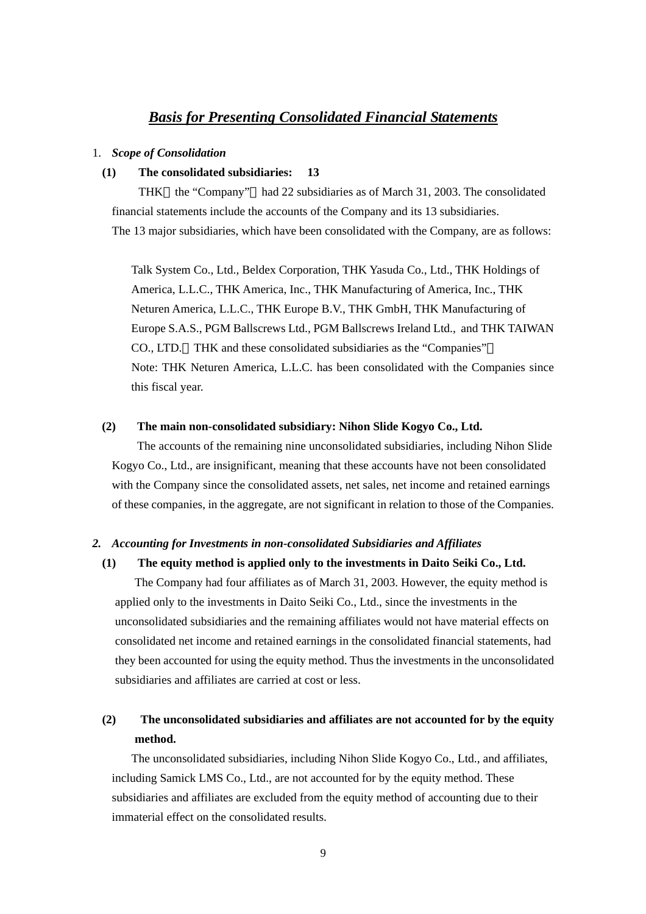# *Basis for Presenting Consolidated Financial Statements*

## 1. *Scope of Consolidation*

## **(1) The consolidated subsidiaries: 13**

THK the "Company" had 22 subsidiaries as of March 31, 2003. The consolidated financial statements include the accounts of the Company and its 13 subsidiaries. The 13 major subsidiaries, which have been consolidated with the Company, are as follows:

Talk System Co., Ltd., Beldex Corporation, THK Yasuda Co., Ltd., THK Holdings of America, L.L.C., THK America, Inc., THK Manufacturing of America, Inc., THK Neturen America, L.L.C., THK Europe B.V., THK GmbH, THK Manufacturing of Europe S.A.S., PGM Ballscrews Ltd., PGM Ballscrews Ireland Ltd., and THK TAIWAN CO., LTD. THK and these consolidated subsidiaries as the "Companies" Note: THK Neturen America, L.L.C. has been consolidated with the Companies since this fiscal year.

#### **(2) The main non-consolidated subsidiary: Nihon Slide Kogyo Co., Ltd.**

 The accounts of the remaining nine unconsolidated subsidiaries, including Nihon Slide Kogyo Co., Ltd., are insignificant, meaning that these accounts have not been consolidated with the Company since the consolidated assets, net sales, net income and retained earnings of these companies, in the aggregate, are not significant in relation to those of the Companies.

#### *2. Accounting for Investments in non-consolidated Subsidiaries and Affiliates*

## **(1) The equity method is applied only to the investments in Daito Seiki Co., Ltd.**

The Company had four affiliates as of March 31, 2003. However, the equity method is applied only to the investments in Daito Seiki Co., Ltd., since the investments in the unconsolidated subsidiaries and the remaining affiliates would not have material effects on consolidated net income and retained earnings in the consolidated financial statements, had they been accounted for using the equity method. Thus the investments in the unconsolidated subsidiaries and affiliates are carried at cost or less.

# **(2) The unconsolidated subsidiaries and affiliates are not accounted for by the equity method.**

The unconsolidated subsidiaries, including Nihon Slide Kogyo Co., Ltd., and affiliates, including Samick LMS Co., Ltd., are not accounted for by the equity method. These subsidiaries and affiliates are excluded from the equity method of accounting due to their immaterial effect on the consolidated results.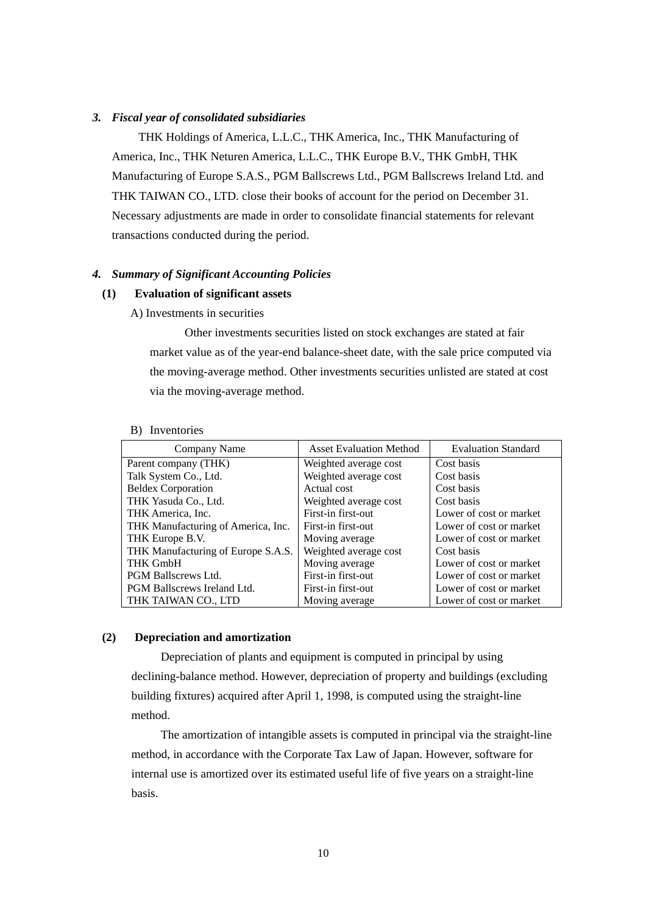#### *3. Fiscal year of consolidated subsidiaries*

 THK Holdings of America, L.L.C., THK America, Inc., THK Manufacturing of America, Inc., THK Neturen America, L.L.C., THK Europe B.V., THK GmbH, THK Manufacturing of Europe S.A.S., PGM Ballscrews Ltd., PGM Ballscrews Ireland Ltd. and THK TAIWAN CO., LTD. close their books of account for the period on December 31. Necessary adjustments are made in order to consolidate financial statements for relevant transactions conducted during the period.

#### *4. Summary of Significant Accounting Policies*

## **(1) Evaluation of significant assets**

A) Investments in securities

Other investments securities listed on stock exchanges are stated at fair market value as of the year-end balance-sheet date, with the sale price computed via the moving-average method. Other investments securities unlisted are stated at cost via the moving-average method.

| Company Name                       | <b>Asset Evaluation Method</b> | <b>Evaluation Standard</b> |
|------------------------------------|--------------------------------|----------------------------|
| Parent company (THK)               | Weighted average cost          | Cost basis                 |
| Talk System Co., Ltd.              | Weighted average cost          | Cost basis                 |
| <b>Beldex Corporation</b>          | Actual cost                    | Cost basis                 |
| THK Yasuda Co., Ltd.               | Weighted average cost          | Cost basis                 |
| THK America, Inc.                  | First-in first-out             | Lower of cost or market    |
| THK Manufacturing of America, Inc. | First-in first-out             | Lower of cost or market    |
| THK Europe B.V.                    | Moving average                 | Lower of cost or market    |
| THK Manufacturing of Europe S.A.S. | Weighted average cost          | Cost basis                 |
| <b>THK GmbH</b>                    | Moving average                 | Lower of cost or market    |
| PGM Ballscrews Ltd.                | First-in first-out             | Lower of cost or market    |
| PGM Ballscrews Ireland Ltd.        | First-in first-out             | Lower of cost or market    |
| THK TAIWAN CO., LTD                | Moving average                 | Lower of cost or market    |

#### B) Inventories

#### **(2) Depreciation and amortization**

Depreciation of plants and equipment is computed in principal by using declining-balance method. However, depreciation of property and buildings (excluding building fixtures) acquired after April 1, 1998, is computed using the straight-line method.

The amortization of intangible assets is computed in principal via the straight-line method, in accordance with the Corporate Tax Law of Japan. However, software for internal use is amortized over its estimated useful life of five years on a straight-line basis.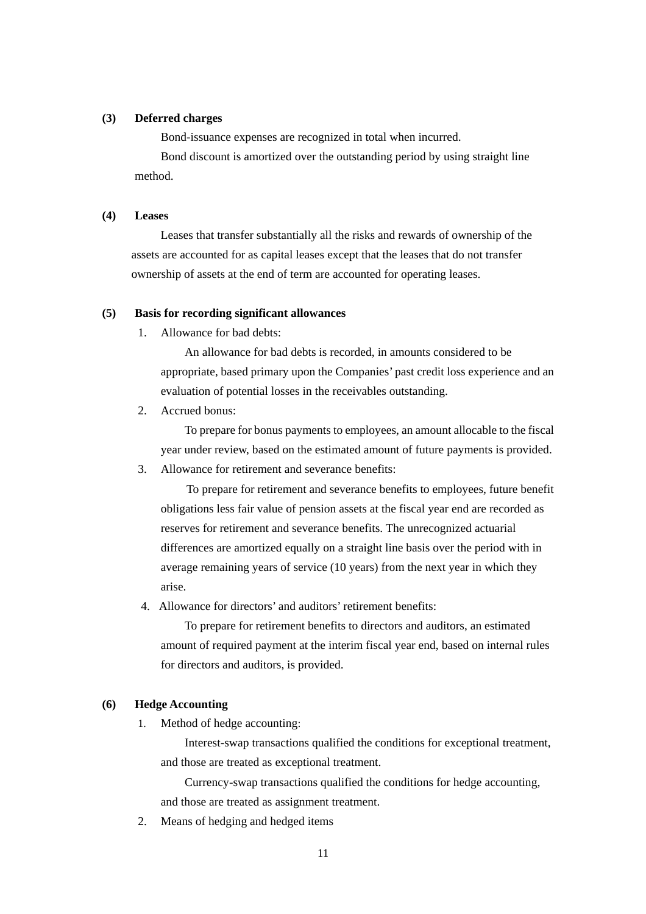## **(3) Deferred charges**

Bond-issuance expenses are recognized in total when incurred.

Bond discount is amortized over the outstanding period by using straight line method.

#### **(4) Leases**

Leases that transfer substantially all the risks and rewards of ownership of the assets are accounted for as capital leases except that the leases that do not transfer ownership of assets at the end of term are accounted for operating leases.

#### **(5) Basis for recording significant allowances**

1. Allowance for bad debts:

An allowance for bad debts is recorded, in amounts considered to be appropriate, based primary upon the Companies' past credit loss experience and an evaluation of potential losses in the receivables outstanding.

2. Accrued bonus:

To prepare for bonus payments to employees, an amount allocable to the fiscal year under review, based on the estimated amount of future payments is provided.

3. Allowance for retirement and severance benefits:

To prepare for retirement and severance benefits to employees, future benefit obligations less fair value of pension assets at the fiscal year end are recorded as reserves for retirement and severance benefits. The unrecognized actuarial differences are amortized equally on a straight line basis over the period with in average remaining years of service (10 years) from the next year in which they arise.

4. Allowance for directors' and auditors' retirement benefits:

To prepare for retirement benefits to directors and auditors, an estimated amount of required payment at the interim fiscal year end, based on internal rules for directors and auditors, is provided.

#### **(6) Hedge Accounting**

1. Method of hedge accounting:

Interest-swap transactions qualified the conditions for exceptional treatment, and those are treated as exceptional treatment.

Currency-swap transactions qualified the conditions for hedge accounting, and those are treated as assignment treatment.

2. Means of hedging and hedged items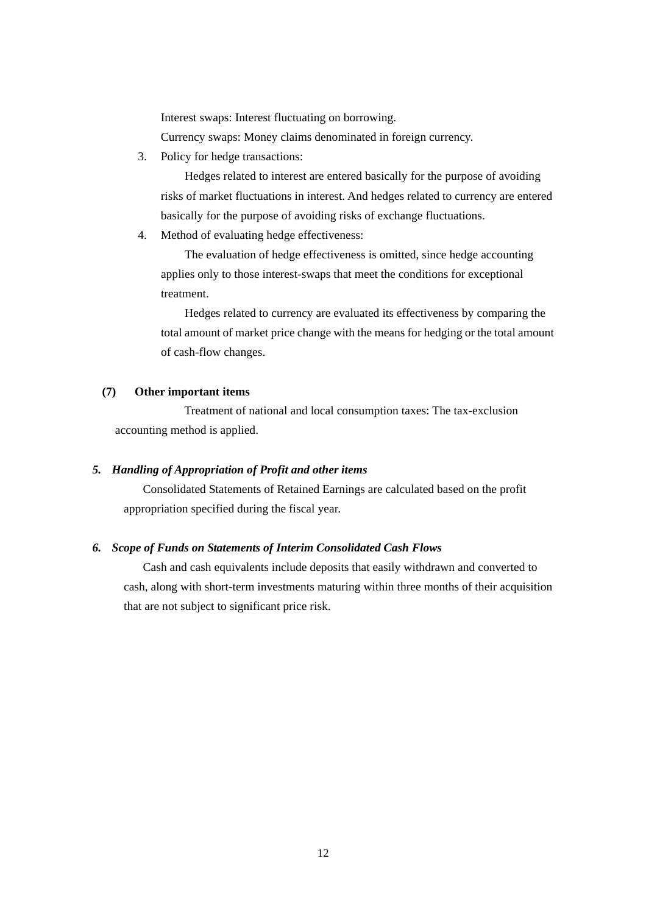Interest swaps: Interest fluctuating on borrowing. Currency swaps: Money claims denominated in foreign currency.

3. Policy for hedge transactions:

Hedges related to interest are entered basically for the purpose of avoiding risks of market fluctuations in interest. And hedges related to currency are entered basically for the purpose of avoiding risks of exchange fluctuations.

4. Method of evaluating hedge effectiveness:

The evaluation of hedge effectiveness is omitted, since hedge accounting applies only to those interest-swaps that meet the conditions for exceptional treatment.

Hedges related to currency are evaluated its effectiveness by comparing the total amount of market price change with the means for hedging or the total amount of cash-flow changes.

# **(7) Other important items**

Treatment of national and local consumption taxes: The tax-exclusion accounting method is applied.

# *5. Handling of Appropriation of Profit and other items*

Consolidated Statements of Retained Earnings are calculated based on the profit appropriation specified during the fiscal year.

# *6. Scope of Funds on Statements of Interim Consolidated Cash Flows*

Cash and cash equivalents include deposits that easily withdrawn and converted to cash, along with short-term investments maturing within three months of their acquisition that are not subject to significant price risk.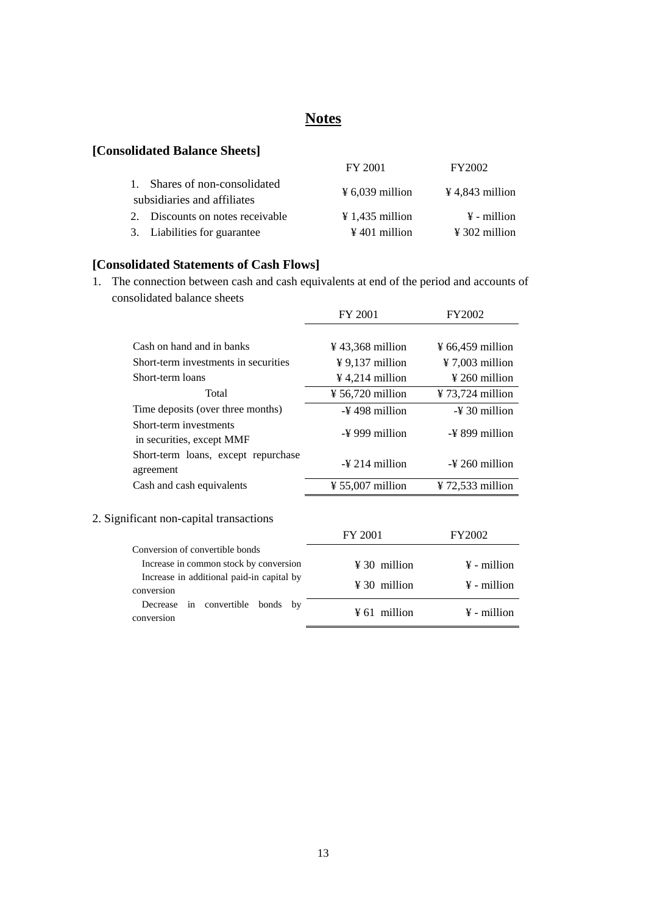# **Notes**

# **[Consolidated Balance Sheets]**

|                                  | FY 2001                     | <b>FY2002</b>               |
|----------------------------------|-----------------------------|-----------------------------|
| 1. Shares of non-consolidated    | $\frac{1}{2}$ 6,039 million | $\frac{1}{2}$ 4,843 million |
| subsidiaries and affiliates      |                             |                             |
| 2. Discounts on notes receivable | $\frac{1}{4}$ 1,435 million | $\frac{1}{2}$ - million     |
| 3. Liabilities for guarantee     | $\frac{1}{2}$ 401 million   | $\frac{1}{2}$ 302 million   |
|                                  |                             |                             |

# **[Consolidated Statements of Cash Flows]**

1. The connection between cash and cash equivalents at end of the period and accounts of consolidated balance sheets

|                                                            | FY 2001                      | FY2002                       |
|------------------------------------------------------------|------------------------------|------------------------------|
|                                                            |                              |                              |
| Cash on hand and in banks                                  | $\frac{1}{2}$ 43,368 million | $\frac{1}{2}$ 66,459 million |
| Short-term investments in securities                       | $\frac{1}{2}$ 9,137 million  | $\frac{1}{2}$ 7,003 million  |
| Short-term loans                                           | $\frac{1}{2}$ 4,214 million  | $\frac{1}{2}$ 260 million    |
| Total                                                      | ¥ 56,720 million             | ¥ 73,724 million             |
| Time deposits (over three months)                          | $-\frac{1}{2}$ 498 million   | $-\frac{1}{2}$ 30 million    |
| Short-term investments<br>in securities, except MMF        | $-\frac{1}{2}$ 999 million   | $-\frac{1}{2}$ 899 million   |
| Short-term loans, except repurchase<br>agreement           | $-\frac{1}{2}$ 214 million   | -¥ 260 million               |
| Cash and cash equivalents                                  | $\frac{1}{2}$ 55,007 million | $\frac{1}{2}$ 72,533 million |
| 2. Significant non-capital transactions                    | FY 2001                      | FY2002                       |
| Conversion of convertible bonds                            |                              |                              |
| Increase in common stock by conversion                     | $\frac{1}{2}$ 30 million     | $\frac{1}{2}$ - million      |
| Increase in additional paid-in capital by<br>conversion    | $\frac{1}{2}$ 30 million     | $\frac{1}{2}$ - million      |
| convertible<br>bonds<br>by<br>Decrease<br>in<br>conversion | $\frac{1}{2}$ 61 million     | $\frac{1}{2}$ - million      |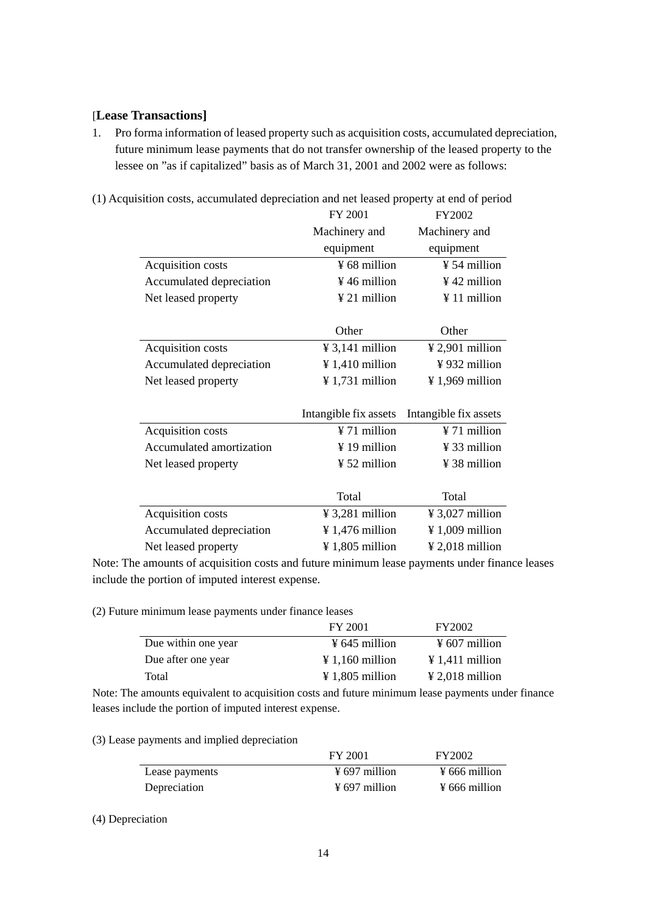# [**Lease Transactions]**

1. Pro forma information of leased property such as acquisition costs, accumulated depreciation, future minimum lease payments that do not transfer ownership of the leased property to the lessee on "as if capitalized" basis as of March 31, 2001 and 2002 were as follows:

| (1) Acquisition costs, accumulated depreciation and net leased property at end of period |  |
|------------------------------------------------------------------------------------------|--|
|                                                                                          |  |

|                          | FY 2001                     | FY2002                      |
|--------------------------|-----------------------------|-----------------------------|
|                          | Machinery and               | Machinery and               |
|                          | equipment                   | equipment                   |
| Acquisition costs        | ¥ 68 million                | ¥ 54 million                |
| Accumulated depreciation | $\frac{1}{2}$ 46 million    | ¥42 million                 |
| Net leased property      | ¥ 21 million                | ¥ 11 million                |
|                          | Other                       | Other                       |
|                          |                             |                             |
| Acquisition costs        | ¥ 3,141 million             | $\frac{1}{2}$ 2,901 million |
| Accumulated depreciation | $\frac{1}{4}$ 1,410 million | ¥932 million                |
| Net leased property      | $\frac{1}{2}$ 1,731 million | $\frac{1}{2}$ 1,969 million |
|                          |                             |                             |
|                          | Intangible fix assets       | Intangible fix assets       |
| Acquisition costs        | ¥ 71 million                | ¥ 71 million                |
| Accumulated amortization | $\frac{1}{2}$ 19 million    | ¥ 33 million                |
| Net leased property      | $\frac{1}{2}$ 52 million    | ¥ 38 million                |
|                          |                             |                             |
|                          | Total                       | Total                       |
| Acquisition costs        | $\frac{1}{2}$ 3,281 million | $\frac{1}{2}$ 3,027 million |
| Accumulated depreciation | ¥ 1,476 million             | $\frac{1}{2}$ 1,009 million |
| Net leased property      | ¥ 1,805 million             | $\frac{1}{2}$ 2,018 million |

Note: The amounts of acquisition costs and future minimum lease payments under finance leases include the portion of imputed interest expense.

(2) Future minimum lease payments under finance leases

|                     | FY 2001                     | FY2002                      |
|---------------------|-----------------------------|-----------------------------|
| Due within one year | $\frac{1}{2}$ 645 million   | $\frac{1}{2}$ 607 million   |
| Due after one year  | $\frac{1}{2}$ 1,160 million | $\text{\#} 1,411$ million   |
| Total               | $\frac{1}{2}$ 1,805 million | $\frac{1}{2}$ 2,018 million |

Note: The amounts equivalent to acquisition costs and future minimum lease payments under finance leases include the portion of imputed interest expense.

#### (3) Lease payments and implied depreciation

|                | FY 2001                   | FY2002                    |
|----------------|---------------------------|---------------------------|
| Lease payments | $\frac{1}{2}$ 697 million | $\frac{1}{2}$ 666 million |
| Depreciation   | $\frac{1}{2}$ 697 million | $\frac{1}{2}$ 666 million |

#### (4) Depreciation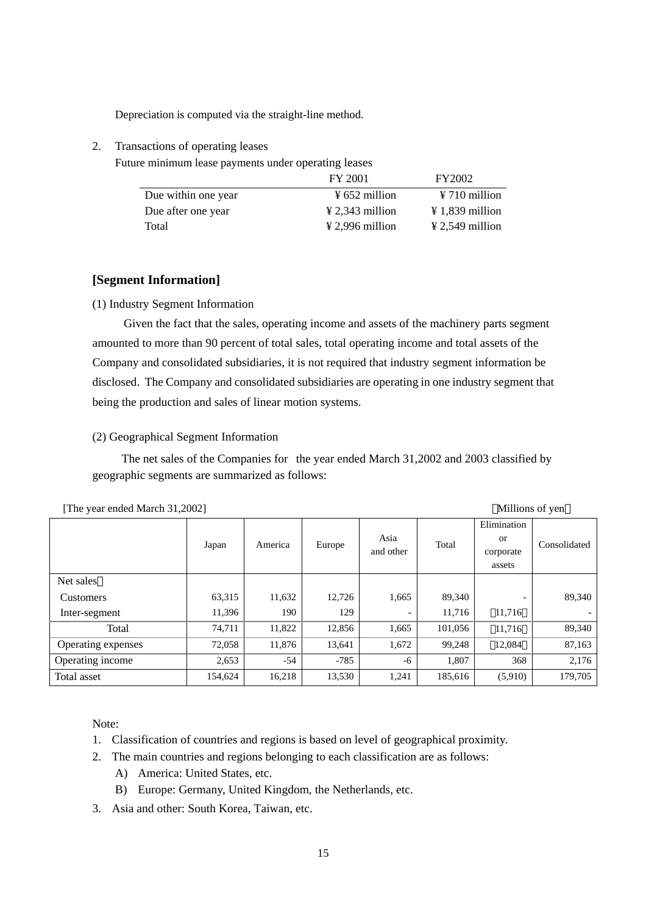Depreciation is computed via the straight-line method.

2. Transactions of operating leases

Future minimum lease payments under operating leases

|                     | FY 2001                     | FY2002                      |
|---------------------|-----------------------------|-----------------------------|
| Due within one year | $\frac{1}{2}$ 652 million   | $\frac{1}{2}$ 710 million   |
| Due after one year  | $\angle 2.343$ million      | $\angle 1.839$ million      |
| Total               | $\frac{1}{2}$ 2,996 million | $\frac{1}{2}$ 2,549 million |

# **[Segment Information]**

(1) Industry Segment Information

 Given the fact that the sales, operating income and assets of the machinery parts segment amounted to more than 90 percent of total sales, total operating income and total assets of the Company and consolidated subsidiaries, it is not required that industry segment information be disclosed. The Company and consolidated subsidiaries are operating in one industry segment that being the production and sales of linear motion systems.

# (2) Geographical Segment Information

The net sales of the Companies for the year ended March 31,2002 and 2003 classified by geographic segments are summarized as follows:

|                    | Japan   | America | Europe | Asia<br>and other | Total   | Elimination<br>or<br>corporate<br>assets | Consolidated |
|--------------------|---------|---------|--------|-------------------|---------|------------------------------------------|--------------|
| Net sales          |         |         |        |                   |         |                                          |              |
| Customers          | 63,315  | 11,632  | 12,726 | 1,665             | 89,340  |                                          | 89,340       |
| Inter-segment      | 11,396  | 190     | 129    | -                 | 11,716  | 11,716                                   |              |
| Total              | 74,711  | 11,822  | 12,856 | 1,665             | 101,056 | 11,716                                   | 89,340       |
| Operating expenses | 72,058  | 11,876  | 13,641 | 1,672             | 99,248  | 12,084                                   | 87,163       |
| Operating income   | 2,653   | $-54$   | $-785$ | -6                | 1,807   | 368                                      | 2,176        |
| Total asset        | 154,624 | 16,218  | 13,530 | 1,241             | 185,616 | (5,910)                                  | 179,705      |

| [The year ended March 31,2002] | Millions of yen |  |
|--------------------------------|-----------------|--|
|                                |                 |  |

Note:

- 1. Classification of countries and regions is based on level of geographical proximity.
- 2. The main countries and regions belonging to each classification are as follows:
	- A) America: United States, etc.
	- B) Europe: Germany, United Kingdom, the Netherlands, etc.
- 3. Asia and other: South Korea, Taiwan, etc.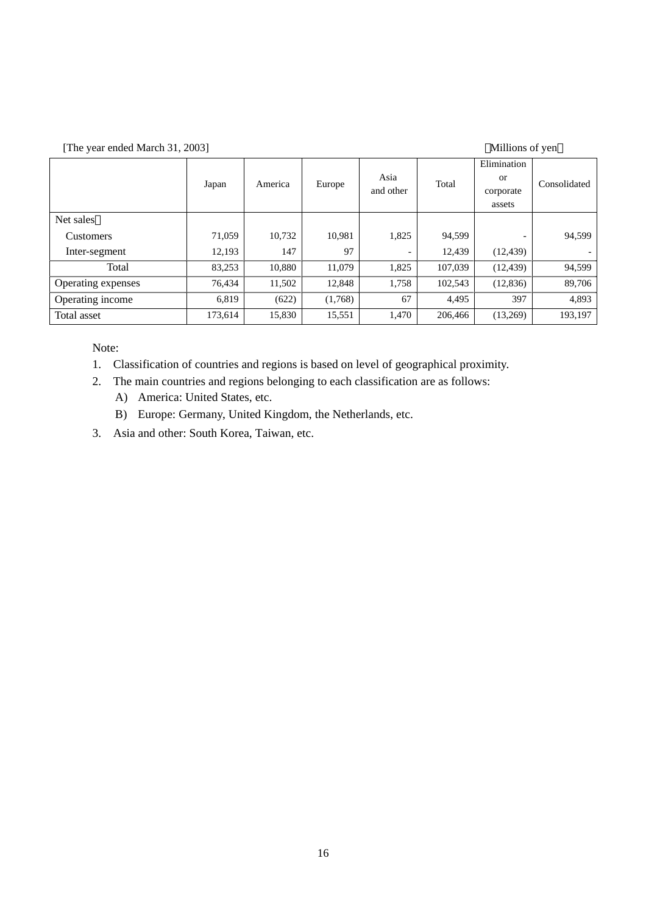[The year ended March 31, 2003] (Millions of yen

| $\mu$ and year ended ividicity of, 2005  <br><b>MUNICIPY OF ACT</b> |         |         |         |           |         |             |              |
|---------------------------------------------------------------------|---------|---------|---------|-----------|---------|-------------|--------------|
|                                                                     |         |         |         |           |         | Elimination |              |
|                                                                     | Japan   | America | Europe  | Asia      | Total   | <b>or</b>   | Consolidated |
|                                                                     |         |         |         | and other |         | corporate   |              |
|                                                                     |         |         |         |           |         | assets      |              |
| Net sales                                                           |         |         |         |           |         |             |              |
| Customers                                                           | 71,059  | 10,732  | 10,981  | 1,825     | 94,599  |             | 94,599       |
| Inter-segment                                                       | 12,193  | 147     | 97      |           | 12,439  | (12, 439)   |              |
| Total                                                               | 83,253  | 10,880  | 11,079  | 1,825     | 107,039 | (12, 439)   | 94,599       |
| Operating expenses                                                  | 76,434  | 11,502  | 12,848  | 1,758     | 102,543 | (12, 836)   | 89,706       |
| Operating income                                                    | 6,819   | (622)   | (1,768) | 67        | 4,495   | 397         | 4,893        |
| Total asset                                                         | 173,614 | 15,830  | 15,551  | 1,470     | 206,466 | (13,269)    | 193.197      |

Note:

1. Classification of countries and regions is based on level of geographical proximity.

2. The main countries and regions belonging to each classification are as follows:

- A) America: United States, etc.
- B) Europe: Germany, United Kingdom, the Netherlands, etc.
- 3. Asia and other: South Korea, Taiwan, etc.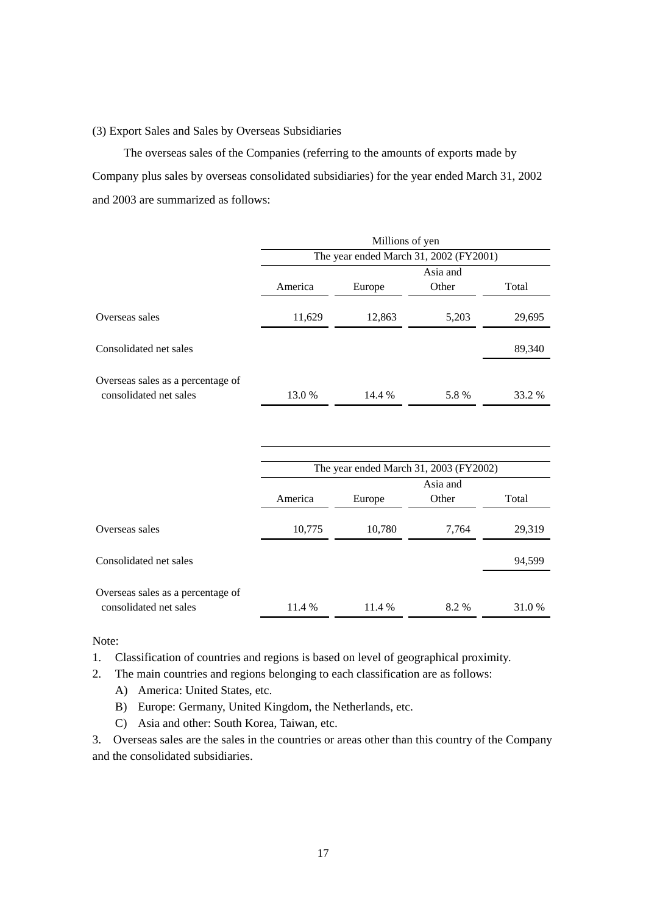## (3) Export Sales and Sales by Overseas Subsidiaries

 The overseas sales of the Companies (referring to the amounts of exports made by Company plus sales by overseas consolidated subsidiaries) for the year ended March 31, 2002 and 2003 are summarized as follows:

|                                                             |         | Millions of yen |                                        |        |
|-------------------------------------------------------------|---------|-----------------|----------------------------------------|--------|
|                                                             |         |                 | The year ended March 31, 2002 (FY2001) |        |
|                                                             |         |                 | Asia and                               |        |
|                                                             | America | Europe          | Other                                  | Total  |
| Overseas sales                                              | 11,629  | 12,863          | 5,203                                  | 29,695 |
| Consolidated net sales                                      |         |                 |                                        | 89,340 |
| Overseas sales as a percentage of                           |         |                 |                                        |        |
| consolidated net sales                                      | 13.0%   | 14.4 %          | 5.8%                                   | 33.2 % |
|                                                             |         |                 |                                        |        |
|                                                             |         |                 | The year ended March 31, 2003 (FY2002) |        |
|                                                             |         |                 | Asia and                               |        |
|                                                             | America | Europe          | Other                                  | Total  |
| Overseas sales                                              | 10,775  | 10,780          | 7,764                                  | 29,319 |
| Consolidated net sales                                      |         |                 |                                        | 94,599 |
| Overseas sales as a percentage of<br>consolidated net sales | 11.4 %  | 11.4 %          | 8.2 %                                  | 31.0%  |

Note:

- 1. Classification of countries and regions is based on level of geographical proximity.
- 2. The main countries and regions belonging to each classification are as follows:
	- A) America: United States, etc.
	- B) Europe: Germany, United Kingdom, the Netherlands, etc.
	- C) Asia and other: South Korea, Taiwan, etc.

3. Overseas sales are the sales in the countries or areas other than this country of the Company and the consolidated subsidiaries.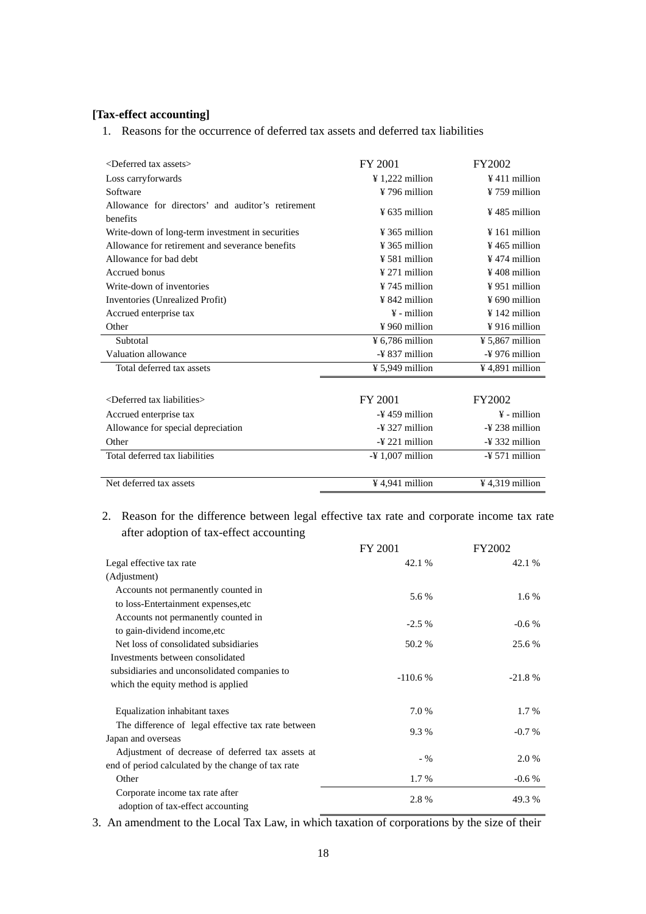# **[Tax-effect accounting]**

1. Reasons for the occurrence of deferred tax assets and deferred tax liabilities

| $\leq$ Deferred tax assets $>$                    | FY 2001                     | FY2002                      |
|---------------------------------------------------|-----------------------------|-----------------------------|
|                                                   |                             |                             |
| Loss carryforwards                                | $\frac{1}{222}$ million     | $\frac{1}{2}$ 411 million   |
| Software                                          | ¥796 million                | $\frac{1}{2}$ 759 million   |
| Allowance for directors' and auditor's retirement |                             |                             |
| benefits                                          | $\frac{1}{2}$ 635 million   | $\frac{1}{2}$ 485 million   |
| Write-down of long-term investment in securities  | $\frac{1}{2}$ 365 million   | $\frac{1}{2}$ 161 million   |
| Allowance for retirement and severance benefits   | $¥$ 365 million             | $\frac{1}{2}$ 465 million   |
| Allowance for bad debt                            | ¥ 581 million               | $\frac{1}{2}$ 474 million   |
| Accrued bonus                                     | $¥$ 271 million             | ¥408 million                |
| Write-down of inventories                         | $¥ 745$ million             | ¥951 million                |
| Inventories (Unrealized Profit)                   | $\frac{1}{2}$ 842 million   | $\frac{1}{2}$ 690 million   |
| Accrued enterprise tax                            | $\frac{1}{2}$ - million     | $\frac{1}{2}$ 142 million   |
| Other                                             | $\frac{1}{2}$ 960 million   | $\frac{1}{2}$ 916 million   |
| Subtotal                                          | ¥ 6,786 million             | ¥ 5,867 million             |
| Valuation allowance                               | $-\frac{1}{2}$ 837 million  | $-\frac{y}{2}$ 976 million  |
| Total deferred tax assets                         | $¥ 5,949$ million           | $\frac{1}{2}$ 4,891 million |
|                                                   |                             |                             |
| <deferred liabilities="" tax=""></deferred>       | FY 2001                     | FY2002                      |
| Accrued enterprise tax                            | $-459$ million              | $\frac{1}{2}$ - million     |
| Allowance for special depreciation                | $-\frac{1}{2}$ 327 million  | $-\frac{1}{2}$ 238 million  |
| Other                                             | $-\frac{1}{2}$ 221 million  | $-\frac{1}{2}$ 332 million  |
| Total deferred tax liabilities                    | $-4$ 1,007 million          | $-\frac{1}{2}$ 571 million  |
|                                                   |                             |                             |
| Net deferred tax assets                           | $\frac{1}{2}$ 4.941 million | $\frac{1}{2}$ 4,319 million |

# 2. Reason for the difference between legal effective tax rate and corporate income tax rate after adoption of tax-effect accounting

|                                                                          | FY 2001   | FY2002   |
|--------------------------------------------------------------------------|-----------|----------|
| Legal effective tax rate                                                 | 42.1 %    | 42.1 %   |
| (Adjustment)                                                             |           |          |
| Accounts not permanently counted in                                      |           |          |
| to loss-Entertainment expenses, etc                                      | 5.6 %     | $1.6\%$  |
| Accounts not permanently counted in                                      | $-2.5\%$  | $-0.6%$  |
| to gain-dividend income, etc                                             |           |          |
| Net loss of consolidated subsidiaries                                    | 50.2 %    | 25.6 %   |
| Investments between consolidated                                         |           |          |
| subsidiaries and unconsolidated companies to                             | $-110.6%$ | $-21.8%$ |
| which the equity method is applied                                       |           |          |
| Equalization inhabitant taxes                                            | 7.0 %     | $1.7\%$  |
| The difference of legal effective tax rate between<br>Japan and overseas | 9.3 %     | $-0.7\%$ |
| Adjustment of decrease of deferred tax assets at                         |           |          |
| end of period calculated by the change of tax rate                       | $-$ %     | 2.0 %    |
| Other                                                                    | 1.7 %     | $-0.6%$  |
| Corporate income tax rate after<br>adoption of tax-effect accounting     | 2.8%      | 49.3 %   |

3. An amendment to the Local Tax Law, in which taxation of corporations by the size of their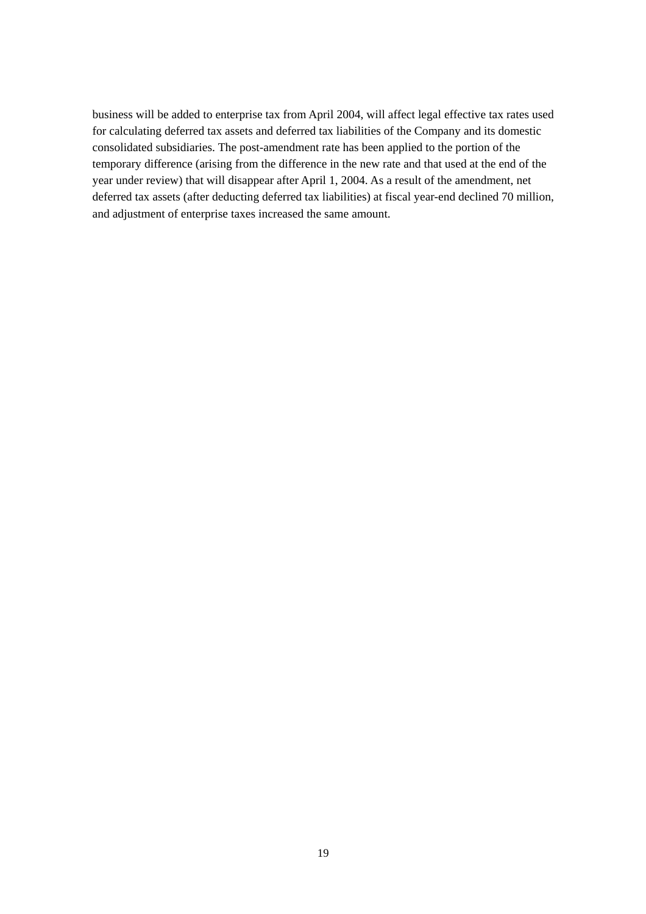business will be added to enterprise tax from April 2004, will affect legal effective tax rates used for calculating deferred tax assets and deferred tax liabilities of the Company and its domestic consolidated subsidiaries. The post-amendment rate has been applied to the portion of the temporary difference (arising from the difference in the new rate and that used at the end of the year under review) that will disappear after April 1, 2004. As a result of the amendment, net deferred tax assets (after deducting deferred tax liabilities) at fiscal year-end declined 70 million, and adjustment of enterprise taxes increased the same amount.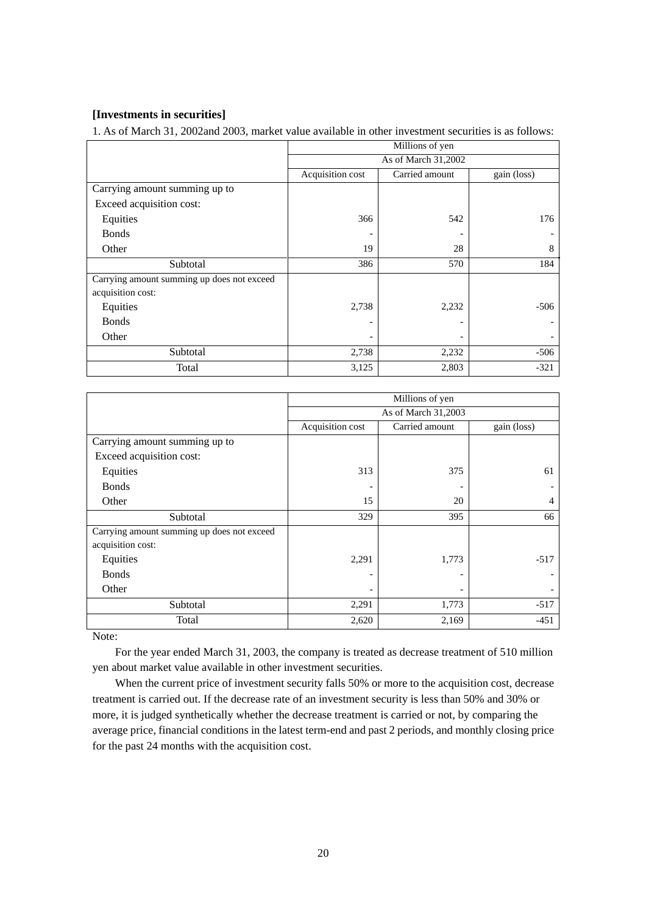# **[Investments in securities]**

1. As of March 31, 2002and 2003, market value available in other investment securities is as follows:

|                                            | Millions of yen     |                |             |  |  |
|--------------------------------------------|---------------------|----------------|-------------|--|--|
|                                            | As of March 31,2002 |                |             |  |  |
|                                            | Acquisition cost    | Carried amount | gain (loss) |  |  |
| Carrying amount summing up to              |                     |                |             |  |  |
| Exceed acquisition cost:                   |                     |                |             |  |  |
| Equities                                   | 366                 | 542            | 176         |  |  |
| <b>Bonds</b>                               |                     |                |             |  |  |
| Other                                      | 19                  | 28             | 8           |  |  |
| Subtotal                                   | 386                 | 570            | 184         |  |  |
| Carrying amount summing up does not exceed |                     |                |             |  |  |
| acquisition cost:                          |                     |                |             |  |  |
| Equities                                   | 2,738               | 2,232          | $-506$      |  |  |
| <b>Bonds</b>                               |                     |                |             |  |  |
| Other                                      |                     |                |             |  |  |
| Subtotal                                   | 2,738               | 2,232          | $-506$      |  |  |
| Total                                      | 3,125               | 2,803          | $-321$      |  |  |

|                                            | Millions of yen     |                |                |
|--------------------------------------------|---------------------|----------------|----------------|
|                                            | As of March 31,2003 |                |                |
|                                            | Acquisition cost    | Carried amount | gain (loss)    |
| Carrying amount summing up to              |                     |                |                |
| Exceed acquisition cost:                   |                     |                |                |
| Equities                                   | 313                 | 375            | 61             |
| <b>Bonds</b>                               |                     |                |                |
| Other                                      | 15                  | 20             | $\overline{4}$ |
| Subtotal                                   | 329                 | 395            | 66             |
| Carrying amount summing up does not exceed |                     |                |                |
| acquisition cost:                          |                     |                |                |
| Equities                                   | 2,291               | 1,773          | $-517$         |
| <b>Bonds</b>                               |                     |                |                |
| Other                                      |                     |                |                |
| Subtotal                                   | 2,291               | 1,773          | $-517$         |
| Total                                      | 2,620               | 2,169          | $-451$         |

Note:

For the year ended March 31, 2003, the company is treated as decrease treatment of 510 million yen about market value available in other investment securities.

When the current price of investment security falls 50% or more to the acquisition cost, decrease treatment is carried out. If the decrease rate of an investment security is less than 50% and 30% or more, it is judged synthetically whether the decrease treatment is carried or not, by comparing the average price, financial conditions in the latest term-end and past 2 periods, and monthly closing price for the past 24 months with the acquisition cost.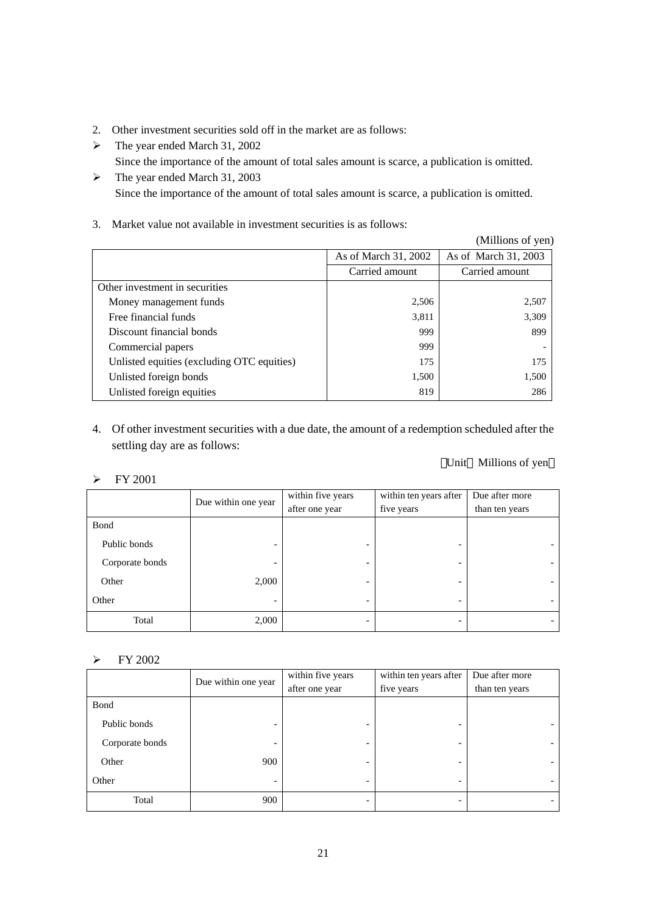- 2. Other investment securities sold off in the market are as follows:
- $\blacktriangleright$  The year ended March 31, 2002
	- Since the importance of the amount of total sales amount is scarce, a publication is omitted.
- $\blacktriangleright$  The year ended March 31, 2003 Since the importance of the amount of total sales amount is scarce, a publication is omitted.
- 3. Market value not available in investment securities is as follows:

|                                            |                      | (Millions of yen)    |
|--------------------------------------------|----------------------|----------------------|
|                                            | As of March 31, 2002 | As of March 31, 2003 |
|                                            | Carried amount       | Carried amount       |
| Other investment in securities             |                      |                      |
| Money management funds                     | 2,506                | 2,507                |
| Free financial funds                       | 3,811                | 3,309                |
| Discount financial bonds                   | 999                  | 899                  |
| Commercial papers                          | 999                  |                      |
| Unlisted equities (excluding OTC equities) | 175                  | 175                  |
| Unlisted foreign bonds                     | 1,500                | 1,500                |
| Unlisted foreign equities                  | 819                  | 286                  |

4. Of other investment securities with a due date, the amount of a redemption scheduled after the settling day are as follows:

# Unit Millions of yen

# $\triangleright$  FY 2001

|                 | Due within one year | within five years | within ten years after | Due after more |
|-----------------|---------------------|-------------------|------------------------|----------------|
|                 |                     | after one year    | five years             | than ten years |
| Bond            |                     |                   |                        |                |
| Public bonds    |                     |                   |                        |                |
| Corporate bonds |                     |                   |                        |                |
| Other           | 2,000               |                   |                        |                |
| Other           |                     |                   |                        |                |
| Total           | 2,000               |                   |                        |                |

# $\triangleright$  FY 2002

|                 | Due within one year | within five years | within ten years after | Due after more |
|-----------------|---------------------|-------------------|------------------------|----------------|
|                 |                     | after one year    | five years             | than ten years |
| Bond            |                     |                   |                        |                |
| Public bonds    |                     |                   |                        |                |
| Corporate bonds | -                   |                   |                        |                |
| Other           | 900                 |                   |                        |                |
| Other           | -                   |                   |                        |                |
| Total           | 900                 |                   |                        |                |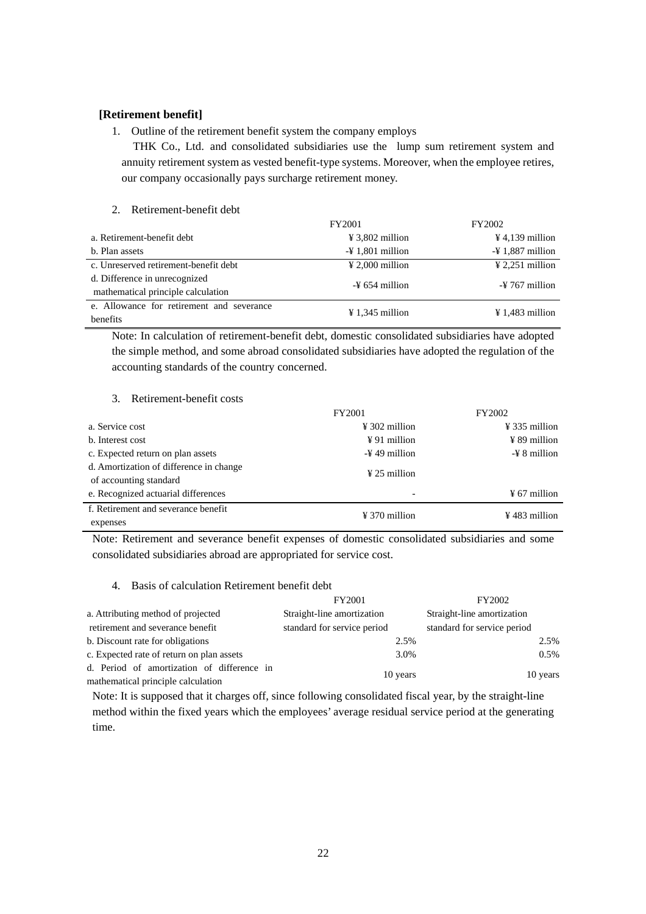## **[Retirement benefit]**

#### 1. Outline of the retirement benefit system the company employs

THK Co., Ltd. and consolidated subsidiaries use the lump sum retirement system and annuity retirement system as vested benefit-type systems. Moreover, when the employee retires, our company occasionally pays surcharge retirement money.

#### 2. Retirement-benefit debt

|                                           | FY2001                       | FY2002                       |
|-------------------------------------------|------------------------------|------------------------------|
| a. Retirement-benefit debt                | $\frac{1}{2}$ 3,802 million  | $\frac{1}{2}$ 4,139 million  |
| b. Plan assets                            | $-\frac{1}{2}$ 1,801 million | $-\frac{1}{2}$ 1.887 million |
| c. Unreserved retirement-benefit debt     | $\frac{1}{2}$ 2,000 million  | $\frac{1}{2}$ 2.251 million  |
| d. Difference in unrecognized             | $-4$ 654 million             | $-\frac{1}{2}$ 767 million   |
| mathematical principle calculation        |                              |                              |
| e. Allowance for retirement and severance | $\frac{1}{2}$ 1,345 million  | $\frac{1}{2}$ 1,483 million  |
| <b>benefits</b>                           |                              |                              |

Note: In calculation of retirement-benefit debt, domestic consolidated subsidiaries have adopted the simple method, and some abroad consolidated subsidiaries have adopted the regulation of the accounting standards of the country concerned.

#### 3. Retirement-benefit costs

|                                         | FY2001                    | FY2002                    |
|-----------------------------------------|---------------------------|---------------------------|
| a. Service cost                         | $\frac{1}{2}$ 302 million | $\frac{1}{2}$ 335 million |
| b. Interest cost                        | $\angle 91$ million       | $\frac{1}{2}$ 89 million  |
| c. Expected return on plan assets       | $-\frac{1}{2}$ 49 million | $-\frac{y}{x}$ 8 million  |
| d. Amortization of difference in change | $\frac{1}{2}$ 25 million  |                           |
| of accounting standard                  |                           |                           |
| e. Recognized actuarial differences     | $\overline{\phantom{0}}$  | $\frac{1}{2}$ 67 million  |
| f. Retirement and severance benefit     | $\frac{1}{2}$ 370 million | $\frac{1}{2}$ 483 million |
| expenses                                |                           |                           |

Note: Retirement and severance benefit expenses of domestic consolidated subsidiaries and some consolidated subsidiaries abroad are appropriated for service cost.

#### 4. Basis of calculation Retirement benefit debt

|                                            | FY2001                      | FY2002                      |
|--------------------------------------------|-----------------------------|-----------------------------|
| a. Attributing method of projected         | Straight-line amortization  | Straight-line amortization  |
| retirement and severance benefit           | standard for service period | standard for service period |
| b. Discount rate for obligations           | 2.5%                        | 2.5%                        |
| c. Expected rate of return on plan assets  | 3.0%                        | $0.5\%$                     |
| d. Period of amortization of difference in |                             |                             |
| mathematical principle calculation         | 10 years                    | 10 years                    |

Note: It is supposed that it charges off, since following consolidated fiscal year, by the straight-line method within the fixed years which the employees' average residual service period at the generating time.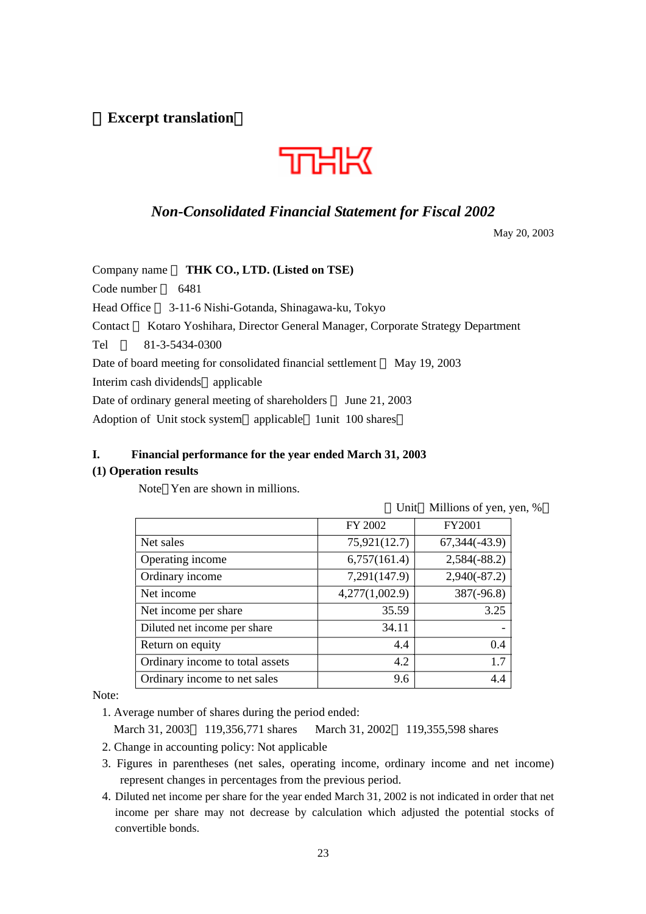(**Excerpt translation**)



# *Non-Consolidated Financial Statement for Fiscal 2002*

May 20, 2003

| THK CO., LTD. (Listed on TSE)<br>Company name                                        |
|--------------------------------------------------------------------------------------|
| Code number<br>6481                                                                  |
| Head Office 3-11-6 Nishi-Gotanda, Shinagawa-ku, Tokyo                                |
| Kotaro Yoshihara, Director General Manager, Corporate Strategy Department<br>Contact |
| Tel<br>81-3-5434-0300                                                                |
| May 19, 2003<br>Date of board meeting for consolidated financial settlement          |
| Interim cash dividends applicable                                                    |
| Date of ordinary general meeting of shareholders<br>June 21, 2003                    |
| Adoption of Unit stock system applicable 1unit 100 shares                            |

# **I. Financial performance for the year ended March 31, 2003**

# **(1) Operation results**

Note Yen are shown in millions.

|                                 | Unit           | Millions of yen, yen, % |  |
|---------------------------------|----------------|-------------------------|--|
|                                 | FY 2002        | <b>FY2001</b>           |  |
| Net sales                       | 75,921(12.7)   | $67,344(-43.9)$         |  |
| Operating income                | 6,757(161.4)   | $2,584(-88.2)$          |  |
| Ordinary income                 | 7,291(147.9)   | $2,940(-87.2)$          |  |
| Net income                      | 4,277(1,002.9) | $387(-96.8)$            |  |
| Net income per share            | 35.59          | 3.25                    |  |
| Diluted net income per share    | 34.11          |                         |  |
| Return on equity                | 4.4            | 0.4                     |  |
| Ordinary income to total assets | 4.2            | 1.7                     |  |
| Ordinary income to net sales    | 9.6            | 4.4                     |  |

Note:

1. Average number of shares during the period ended:

March 31, 2003 119,356,771 shares March 31, 2002 119,355,598 shares

- 2. Change in accounting policy: Not applicable
- 3. Figures in parentheses (net sales, operating income, ordinary income and net income) represent changes in percentages from the previous period.
- 4. Diluted net income per share for the year ended March 31, 2002 is not indicated in order that net income per share may not decrease by calculation which adjusted the potential stocks of convertible bonds.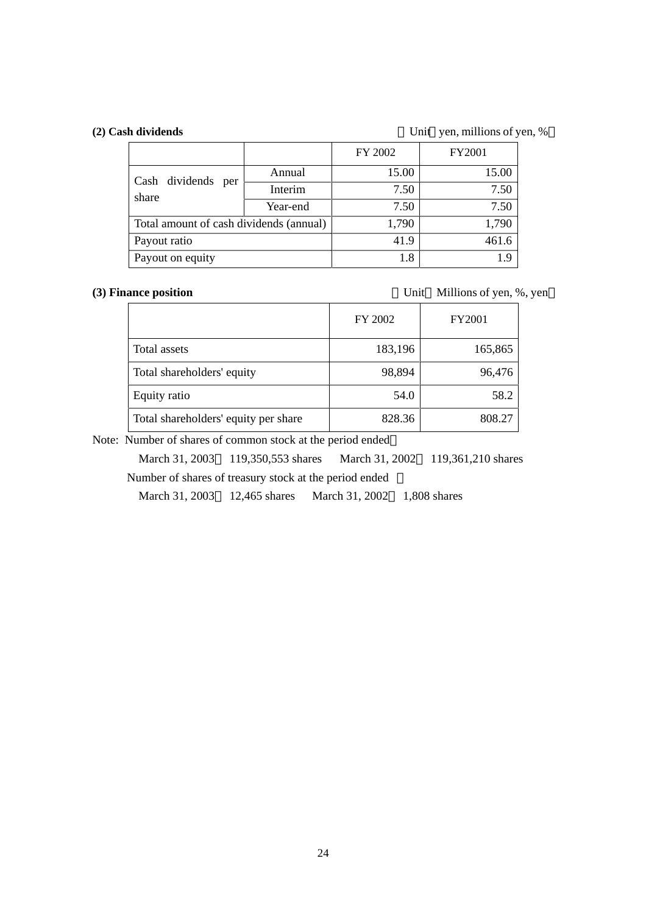(2) Cash dividends Unit yen, millions of yen, %

|                                         |          | FY 2002 | FY2001 |
|-----------------------------------------|----------|---------|--------|
|                                         | Annual   | 15.00   | 15.00  |
| Cash dividends per<br>share             | Interim  | 7.50    | 7.50   |
|                                         | Year-end | 7.50    | 7.50   |
| Total amount of cash dividends (annual) |          | 1,790   | 1,790  |
| Payout ratio                            |          | 41.9    | 461.6  |
| Payout on equity                        |          | 1.8     | 19     |

**(3) Finance position** Unit Millions of yen, %, yen

|                                      | FY 2002 | <b>FY2001</b> |
|--------------------------------------|---------|---------------|
| Total assets                         | 183,196 | 165,865       |
| Total shareholders' equity           | 98,894  | 96,476        |
| Equity ratio                         | 54.0    | 58.2          |
| Total shareholders' equity per share | 828.36  | 808.27        |

Note: Number of shares of common stock at the period ended

 March 31, 2003 119,350,553 shares March 31, 2002 119,361,210 shares Number of shares of treasury stock at the period ended :

March 31, 2003 12,465 shares March 31, 2002 1,808 shares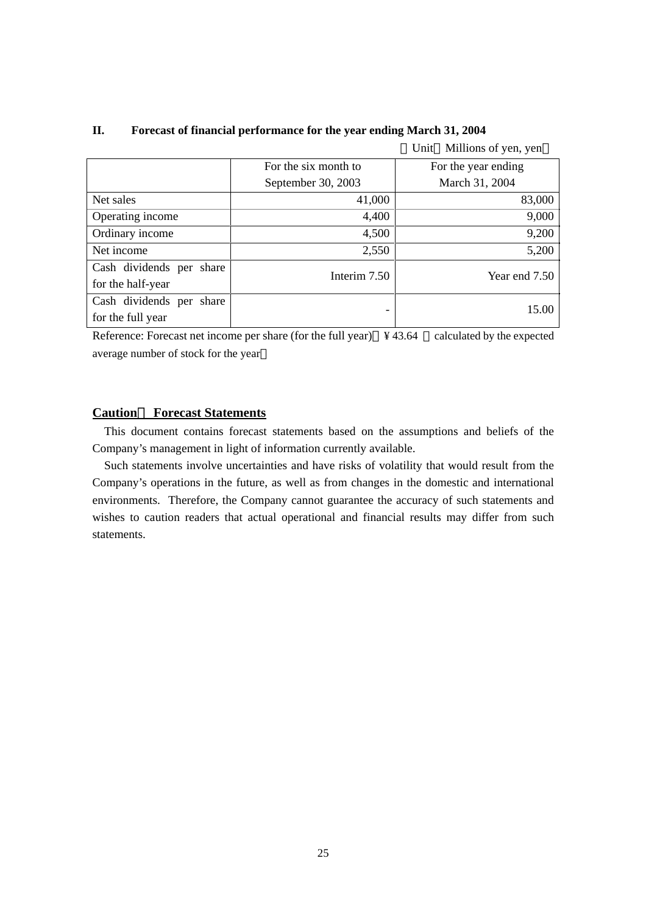|                          |                      | Millions of yen, yen<br>Unit |
|--------------------------|----------------------|------------------------------|
|                          | For the six month to | For the year ending          |
|                          | September 30, 2003   | March 31, 2004               |
| Net sales                | 41,000               | 83,000                       |
| Operating income         | 4,400                | 9,000                        |
| Ordinary income          | 4,500                | 9,200                        |
| Net income               | 2,550                | 5,200                        |
| Cash dividends per share | Interim 7.50         | Year end 7.50                |
| for the half-year        |                      |                              |
| Cash dividends per share |                      | 15.00                        |
| for the full year        |                      |                              |

# **II. Forecast of financial performance for the year ending March 31, 2004**

Reference: Forecast net income per share (for the full year) ¥ 43.64 calculated by the expected average number of stock for the year

## **Caution**: **Forecast Statements**

This document contains forecast statements based on the assumptions and beliefs of the Company's management in light of information currently available.

Such statements involve uncertainties and have risks of volatility that would result from the Company's operations in the future, as well as from changes in the domestic and international environments. Therefore, the Company cannot guarantee the accuracy of such statements and wishes to caution readers that actual operational and financial results may differ from such statements.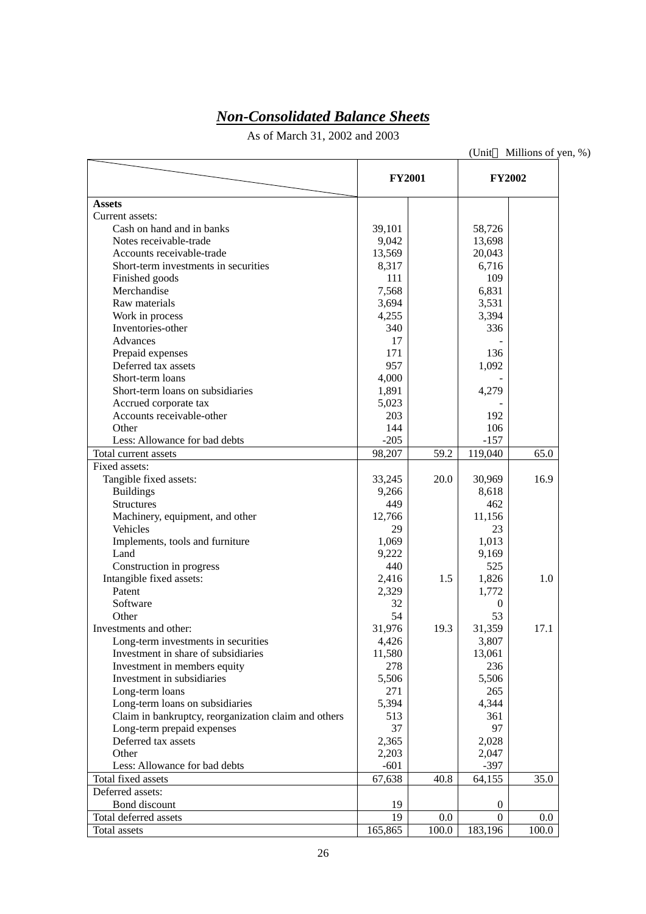# *Non-Consolidated Balance Sheets*

As of March 31, 2002 and 2003

|                                                      | <b>FY2001</b> |       | <b>FY2002</b>    |       |
|------------------------------------------------------|---------------|-------|------------------|-------|
| <b>Assets</b>                                        |               |       |                  |       |
| Current assets:                                      |               |       |                  |       |
| Cash on hand and in banks                            | 39,101        |       | 58,726           |       |
| Notes receivable-trade                               | 9,042         |       | 13,698           |       |
| Accounts receivable-trade                            | 13,569        |       | 20,043           |       |
| Short-term investments in securities                 | 8,317         |       | 6,716            |       |
| Finished goods                                       | 111           |       | 109              |       |
| Merchandise                                          | 7,568         |       | 6,831            |       |
| Raw materials                                        | 3,694         |       | 3,531            |       |
| Work in process                                      | 4,255         |       | 3,394            |       |
| Inventories-other                                    | 340           |       | 336              |       |
| Advances                                             | 17            |       |                  |       |
| Prepaid expenses                                     | 171           |       | 136              |       |
| Deferred tax assets                                  | 957           |       | 1,092            |       |
| Short-term loans                                     | 4,000         |       |                  |       |
| Short-term loans on subsidiaries                     | 1,891         |       | 4,279            |       |
| Accrued corporate tax                                | 5,023         |       |                  |       |
| Accounts receivable-other                            | 203           |       | 192              |       |
| Other                                                | 144           |       | 106              |       |
| Less: Allowance for bad debts                        | $-205$        |       | $-157$           |       |
| Total current assets                                 | 98,207        | 59.2  | 119,040          | 65.0  |
| Fixed assets:                                        |               |       |                  |       |
|                                                      | 33,245        | 20.0  | 30,969           | 16.9  |
| Tangible fixed assets:                               |               |       |                  |       |
| <b>Buildings</b>                                     | 9,266         |       | 8,618            |       |
| <b>Structures</b>                                    | 449           |       | 462              |       |
| Machinery, equipment, and other                      | 12,766        |       | 11,156           |       |
| Vehicles                                             | 29            |       | 23               |       |
| Implements, tools and furniture                      | 1,069         |       | 1,013            |       |
| Land                                                 | 9,222         |       | 9,169            |       |
| Construction in progress                             | 440           |       | 525              |       |
| Intangible fixed assets:                             | 2,416         | 1.5   | 1,826            | 1.0   |
| Patent                                               | 2,329         |       | 1,772            |       |
| Software                                             | 32            |       | $\bf{0}$         |       |
| Other                                                | 54            |       | 53               |       |
| Investments and other:                               | 31,976        | 19.3  | 31,359           | 17.1  |
| Long-term investments in securities                  | 4,426         |       | 3,807            |       |
| Investment in share of subsidiaries                  | 11,580        |       | 13,061           |       |
| Investment in members equity                         | 278           |       | 236              |       |
| Investment in subsidiaries                           | 5,506         |       | 5,506            |       |
| Long-term loans                                      | 271           |       | 265              |       |
| Long-term loans on subsidiaries                      | 5,394         |       | 4,344            |       |
| Claim in bankruptcy, reorganization claim and others | 513           |       | 361              |       |
| Long-term prepaid expenses                           | 37            |       | 97               |       |
| Deferred tax assets                                  | 2,365         |       | 2,028            |       |
| Other                                                | 2,203         |       | 2,047            |       |
| Less: Allowance for bad debts                        | $-601$        |       | $-397$           |       |
| Total fixed assets                                   | 67,638        | 40.8  | 64,155           | 35.0  |
| Deferred assets:                                     |               |       |                  |       |
| Bond discount                                        | 19            |       | $\boldsymbol{0}$ |       |
| Total deferred assets                                | 19            | 0.0   | $\Omega$         | 0.0   |
| Total assets                                         | 165,865       | 100.0 | 183,196          | 100.0 |

(Unit Millions of yen, %)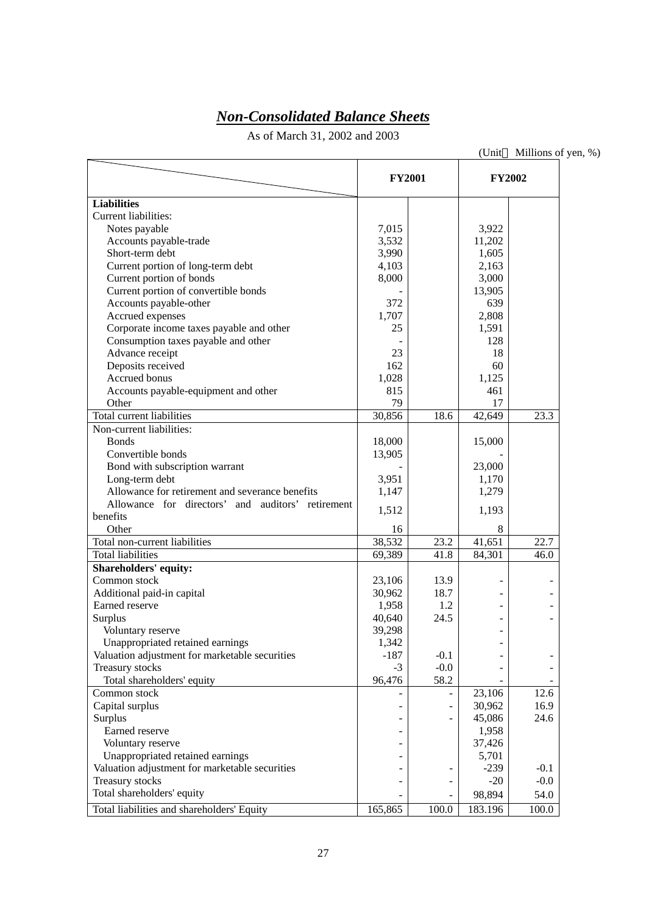# *Non-Consolidated Balance Sheets*

As of March 31, 2002 and 2003

|                                                   | <b>FY2001</b> |        | <b>FY2002</b>  |        |
|---------------------------------------------------|---------------|--------|----------------|--------|
| <b>Liabilities</b>                                |               |        |                |        |
| Current liabilities:                              |               |        |                |        |
| Notes payable                                     | 7,015         |        | 3,922          |        |
| Accounts payable-trade                            | 3,532         |        | 11,202         |        |
| Short-term debt                                   | 3,990         |        | 1,605          |        |
| Current portion of long-term debt                 | 4,103         |        | 2,163          |        |
| Current portion of bonds                          | 8,000         |        | 3,000          |        |
| Current portion of convertible bonds              |               |        | 13,905         |        |
| Accounts payable-other                            | 372           |        | 639            |        |
| Accrued expenses                                  | 1,707         |        | 2,808          |        |
| Corporate income taxes payable and other          | 25            |        | 1,591          |        |
| Consumption taxes payable and other               |               |        | 128            |        |
| Advance receipt                                   | 23            |        | 18             |        |
| Deposits received                                 | 162           |        | 60             |        |
| Accrued bonus                                     | 1,028         |        | 1,125          |        |
| Accounts payable-equipment and other              | 815           |        | 461            |        |
| Other                                             | 79            |        | 17             |        |
| Total current liabilities                         | 30,856        | 18.6   | 42,649         | 23.3   |
| Non-current liabilities:                          |               |        |                |        |
| <b>Bonds</b>                                      | 18,000        |        | 15,000         |        |
| Convertible bonds                                 | 13,905        |        |                |        |
| Bond with subscription warrant                    |               |        | 23,000         |        |
| Long-term debt                                    | 3,951         |        | 1,170          |        |
| Allowance for retirement and severance benefits   | 1,147         |        | 1,279          |        |
| Allowance for directors' and auditors' retirement |               |        |                |        |
| benefits                                          | 1,512         |        | 1,193          |        |
| Other                                             | 16            |        | 8              |        |
| Total non-current liabilities                     | 38,532        | 23.2   | 41,651         | 22.7   |
| <b>Total liabilities</b>                          | 69,389        | 41.8   | 84,301         | 46.0   |
| Shareholders' equity:                             |               |        |                |        |
| Common stock                                      | 23,106        | 13.9   | $\blacksquare$ |        |
| Additional paid-in capital                        | 30,962        | 18.7   | $\blacksquare$ |        |
| Earned reserve                                    | 1,958         | 1.2    |                |        |
| Surplus                                           | 40,640        | 24.5   | ۳              |        |
| Voluntary reserve                                 | 39,298        |        |                |        |
| Unappropriated retained earnings                  | 1,342         |        |                |        |
| Valuation adjustment for marketable securities    | $-187$        | $-0.1$ |                |        |
| Treasury stocks                                   | $-3$          | $-0.0$ |                |        |
| Total shareholders' equity                        | 96,476        | 58.2   |                |        |
| Common stock                                      |               |        | 23,106         | 12.6   |
| Capital surplus                                   |               |        | 30,962         | 16.9   |
| Surplus                                           |               |        | 45,086         | 24.6   |
| Earned reserve                                    |               |        | 1,958          |        |
| Voluntary reserve                                 |               |        | 37,426         |        |
| Unappropriated retained earnings                  |               |        | 5,701          |        |
| Valuation adjustment for marketable securities    |               | -      | $-239$         | $-0.1$ |
| Treasury stocks                                   |               |        | $-20$          | $-0.0$ |
| Total shareholders' equity                        |               | ÷      | 98,894         | 54.0   |
| Total liabilities and shareholders' Equity        | 165,865       | 100.0  | 183.196        | 100.0  |

(Unit Millions of yen, %)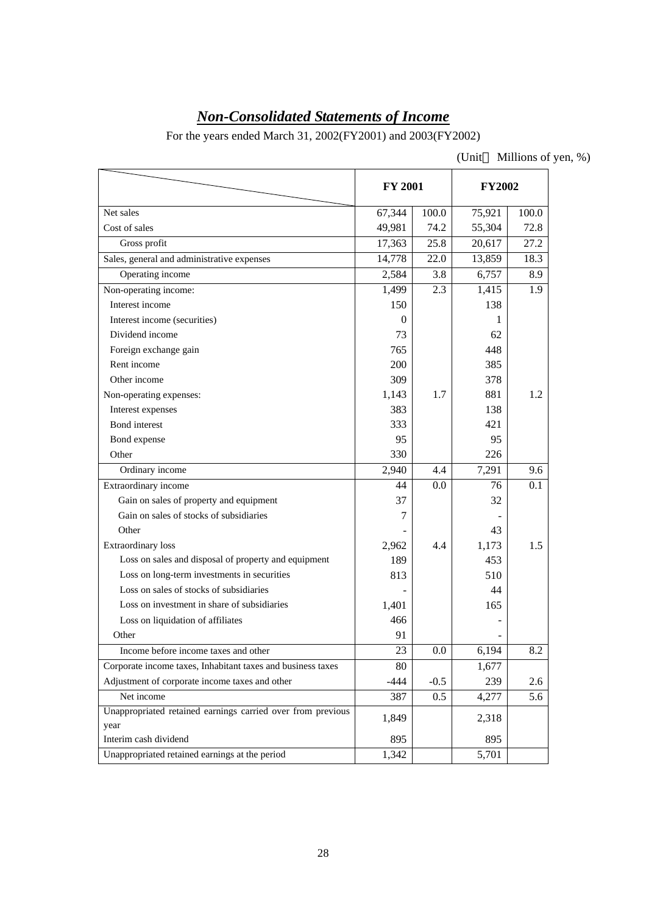# *Non-Consolidated Statements of Income*

For the years ended March 31, 2002(FY2001) and 2003(FY2002)

| (Unit | Millions of yen, %) |  |
|-------|---------------------|--|
|       |                     |  |

|                                                             | FY 2001 |         | <b>FY2002</b> |       |  |
|-------------------------------------------------------------|---------|---------|---------------|-------|--|
| Net sales                                                   | 67,344  | 100.0   | 75,921        | 100.0 |  |
| Cost of sales                                               | 49,981  | 74.2    | 55,304        | 72.8  |  |
| Gross profit                                                | 17,363  | 25.8    | 20,617        | 27.2  |  |
| Sales, general and administrative expenses                  | 14,778  | 22.0    | 13,859        | 18.3  |  |
| Operating income                                            | 2,584   | 3.8     | 6,757         | 8.9   |  |
| Non-operating income:                                       | 1,499   | 2.3     | 1,415         | 1.9   |  |
| Interest income                                             | 150     |         | 138           |       |  |
| Interest income (securities)                                | 0       |         | 1             |       |  |
| Dividend income                                             | 73      |         | 62            |       |  |
| Foreign exchange gain                                       | 765     |         | 448           |       |  |
| Rent income                                                 | 200     |         | 385           |       |  |
| Other income                                                | 309     |         | 378           |       |  |
| Non-operating expenses:                                     | 1,143   | 1.7     | 881           | 1.2   |  |
| Interest expenses                                           | 383     |         | 138           |       |  |
| <b>Bond</b> interest                                        | 333     |         | 421           |       |  |
| Bond expense                                                | 95      |         | 95            |       |  |
| Other                                                       | 330     |         | 226           |       |  |
| Ordinary income                                             | 2,940   | 4.4     | 7,291         | 9.6   |  |
| Extraordinary income                                        | 44      | 0.0     | 76            | 0.1   |  |
| Gain on sales of property and equipment                     | 37      |         | 32            |       |  |
| Gain on sales of stocks of subsidiaries                     | 7       |         |               |       |  |
| Other                                                       |         |         | 43            |       |  |
| Extraordinary loss                                          | 2,962   | 4.4     | 1,173         | 1.5   |  |
| Loss on sales and disposal of property and equipment        | 189     |         | 453           |       |  |
| Loss on long-term investments in securities                 | 813     |         | 510           |       |  |
| Loss on sales of stocks of subsidiaries                     |         |         | 44            |       |  |
| Loss on investment in share of subsidiaries                 | 1,401   |         | 165           |       |  |
| Loss on liquidation of affiliates                           | 466     |         |               |       |  |
| Other                                                       | 91      |         |               |       |  |
| Income before income taxes and other                        | 23      | $0.0\,$ | 6,194         | 8.2   |  |
| Corporate income taxes, Inhabitant taxes and business taxes | 80      |         | 1,677         |       |  |
| Adjustment of corporate income taxes and other              | $-444$  | $-0.5$  | 239           | 2.6   |  |
| Net income                                                  | 387     | 0.5     | 4,277         | 5.6   |  |
| Unappropriated retained earnings carried over from previous | 1,849   |         | 2,318         |       |  |
| year                                                        |         |         |               |       |  |
| Interim cash dividend                                       | 895     |         | 895           |       |  |
| Unappropriated retained earnings at the period              | 1,342   |         | 5,701         |       |  |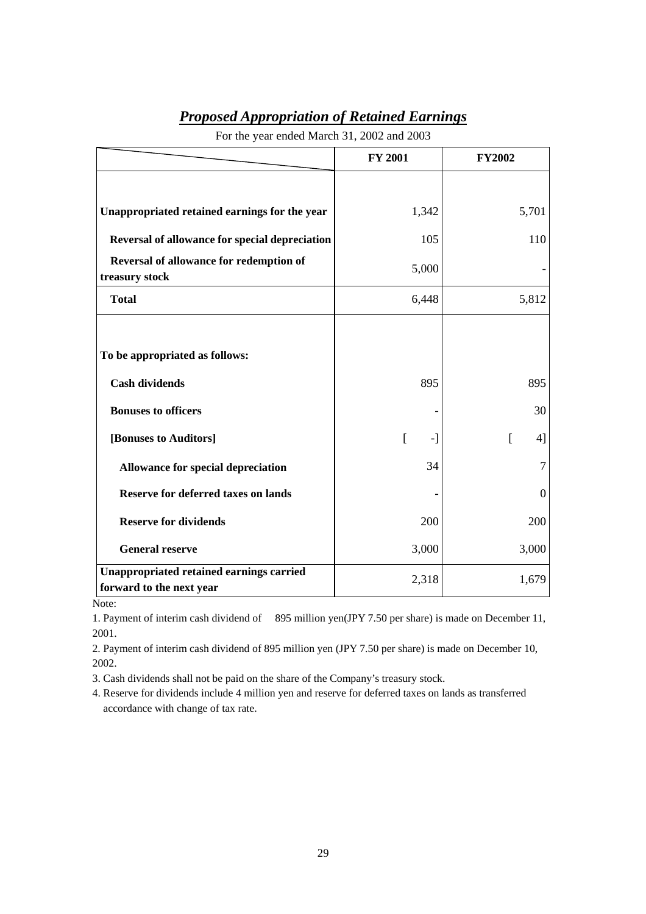| <b>Proposed Appropriation of Retained Earnings</b> |  |
|----------------------------------------------------|--|
|----------------------------------------------------|--|

|                                                                             | <b>FY 2001</b> | <b>FY2002</b>  |
|-----------------------------------------------------------------------------|----------------|----------------|
|                                                                             |                |                |
| Unappropriated retained earnings for the year                               | 1,342          | 5,701          |
| Reversal of allowance for special depreciation                              | 105            | 110            |
| Reversal of allowance for redemption of<br>treasury stock                   | 5,000          |                |
| <b>Total</b>                                                                | 6,448          | 5,812          |
|                                                                             |                |                |
| To be appropriated as follows:                                              |                |                |
| <b>Cash dividends</b>                                                       | 895            | 895            |
| <b>Bonuses to officers</b>                                                  |                | 30             |
| [Bonuses to Auditors]                                                       | ſ<br>-1        | ſ<br>41        |
| Allowance for special depreciation                                          | 34             | $\overline{7}$ |
| <b>Reserve for deferred taxes on lands</b>                                  |                | $\overline{0}$ |
| <b>Reserve for dividends</b>                                                | 200            | 200            |
| <b>General reserve</b>                                                      | 3,000          | 3,000          |
| <b>Unappropriated retained earnings carried</b><br>forward to the next year | 2,318          | 1,679          |

For the year ended March 31, 2002 and 2003

Note:

1. Payment of interim cash dividend of 895 million yen(JPY 7.50 per share) is made on December 11, 2001.

2. Payment of interim cash dividend of 895 million yen (JPY 7.50 per share) is made on December 10, 2002.

3. Cash dividends shall not be paid on the share of the Company's treasury stock.

4. Reserve for dividends include 4 million yen and reserve for deferred taxes on lands as transferred accordance with change of tax rate.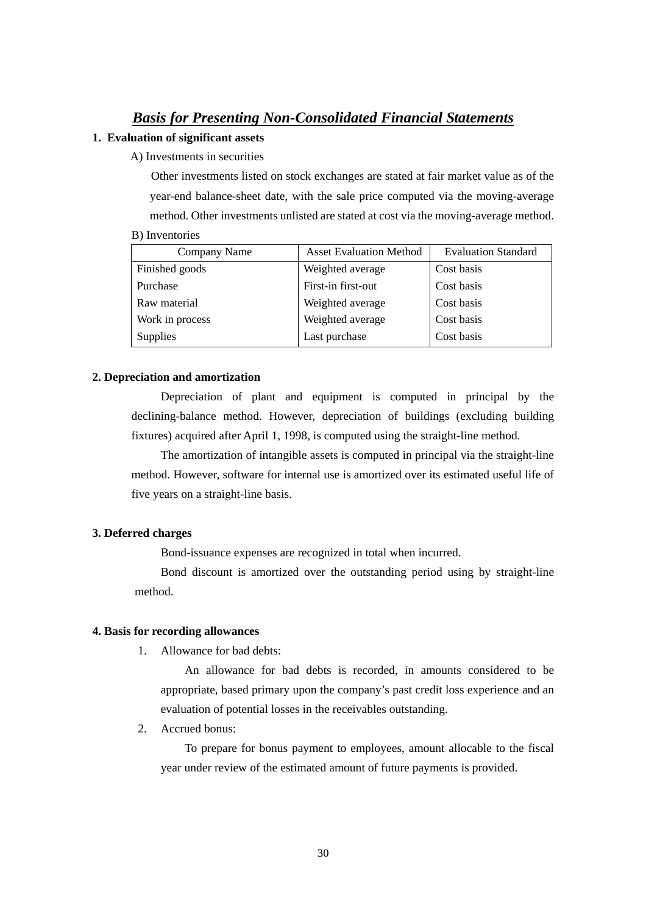# *Basis for Presenting Non-Consolidated Financial Statements*

## **1. Evaluation of significant assets**

A) Investments in securities

Other investments listed on stock exchanges are stated at fair market value as of the year-end balance-sheet date, with the sale price computed via the moving-average method. Other investments unlisted are stated at cost via the moving-average method.

| Company Name    | <b>Asset Evaluation Method</b> | <b>Evaluation Standard</b> |
|-----------------|--------------------------------|----------------------------|
| Finished goods  | Weighted average               | Cost basis                 |
| Purchase        | First-in first-out             | Cost basis                 |
| Raw material    | Weighted average               | Cost basis                 |
| Work in process | Weighted average               | Cost basis                 |
| <b>Supplies</b> | Last purchase                  | Cost basis                 |

## **2. Depreciation and amortization**

Depreciation of plant and equipment is computed in principal by the declining-balance method. However, depreciation of buildings (excluding building fixtures) acquired after April 1, 1998, is computed using the straight-line method.

The amortization of intangible assets is computed in principal via the straight-line method. However, software for internal use is amortized over its estimated useful life of five years on a straight-line basis.

# **3. Deferred charges**

Bond-issuance expenses are recognized in total when incurred.

Bond discount is amortized over the outstanding period using by straight-line method.

#### **4. Basis for recording allowances**

1. Allowance for bad debts:

An allowance for bad debts is recorded, in amounts considered to be appropriate, based primary upon the company's past credit loss experience and an evaluation of potential losses in the receivables outstanding.

2. Accrued bonus:

To prepare for bonus payment to employees, amount allocable to the fiscal year under review of the estimated amount of future payments is provided.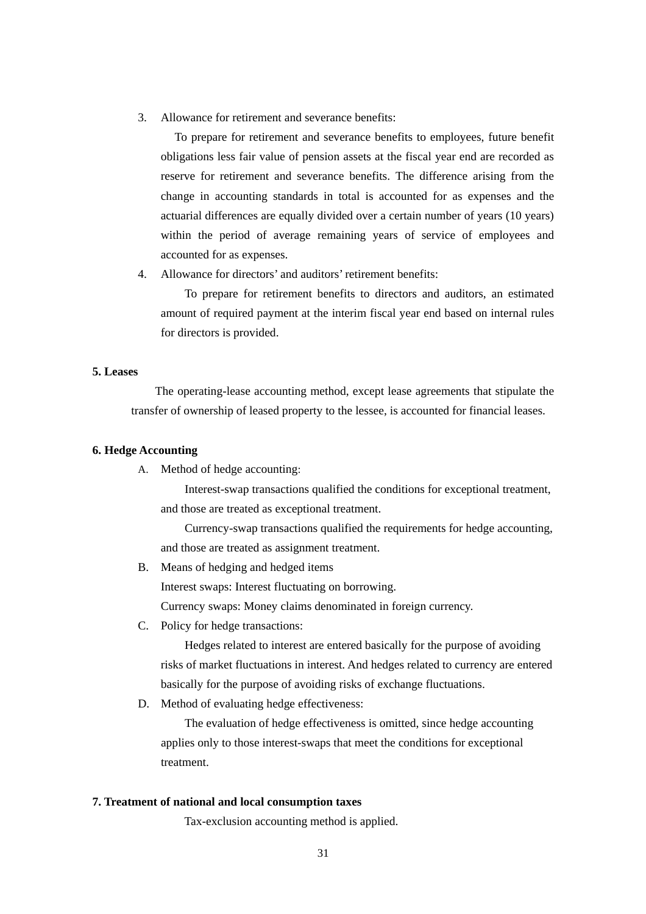3. Allowance for retirement and severance benefits:

To prepare for retirement and severance benefits to employees, future benefit obligations less fair value of pension assets at the fiscal year end are recorded as reserve for retirement and severance benefits. The difference arising from the change in accounting standards in total is accounted for as expenses and the actuarial differences are equally divided over a certain number of years (10 years) within the period of average remaining years of service of employees and accounted for as expenses.

4. Allowance for directors' and auditors' retirement benefits:

To prepare for retirement benefits to directors and auditors, an estimated amount of required payment at the interim fiscal year end based on internal rules for directors is provided.

#### **5. Leases**

The operating-lease accounting method, except lease agreements that stipulate the transfer of ownership of leased property to the lessee, is accounted for financial leases.

#### **6. Hedge Accounting**

A. Method of hedge accounting:

Interest-swap transactions qualified the conditions for exceptional treatment, and those are treated as exceptional treatment.

Currency-swap transactions qualified the requirements for hedge accounting, and those are treated as assignment treatment.

B. Means of hedging and hedged items Interest swaps: Interest fluctuating on borrowing.

Currency swaps: Money claims denominated in foreign currency.

C. Policy for hedge transactions:

Hedges related to interest are entered basically for the purpose of avoiding risks of market fluctuations in interest. And hedges related to currency are entered basically for the purpose of avoiding risks of exchange fluctuations.

D. Method of evaluating hedge effectiveness:

The evaluation of hedge effectiveness is omitted, since hedge accounting applies only to those interest-swaps that meet the conditions for exceptional treatment.

#### **7. Treatment of national and local consumption taxes**

Tax-exclusion accounting method is applied.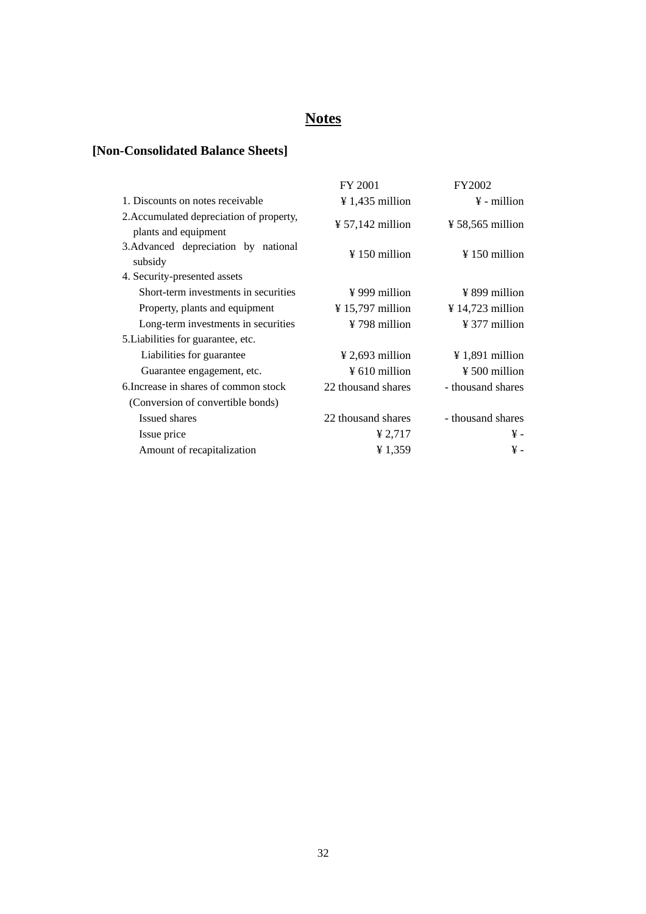# **Notes**

# **[Non-Consolidated Balance Sheets]**

|                                                                  | FY 2001                      | FY2002                       |
|------------------------------------------------------------------|------------------------------|------------------------------|
| 1. Discounts on notes receivable                                 | $\frac{1}{4}$ 1,435 million  | $\frac{1}{2}$ - million      |
| 2. Accumulated depreciation of property,<br>plants and equipment | $\frac{1}{2}$ 57,142 million | $\frac{1}{2}$ 58,565 million |
| 3. Advanced depreciation by national<br>subsidy                  | $\frac{150}{150}$ million    | $\frac{150}{150}$ million    |
| 4. Security-presented assets                                     |                              |                              |
| Short-term investments in securities                             | $\frac{1}{2}$ 999 million    | $\frac{1}{2}$ 899 million    |
| Property, plants and equipment                                   | $\frac{1}{2}$ 15,797 million | $\frac{1}{2}$ 14,723 million |
| Long-term investments in securities                              | ¥ 798 million                | $\frac{1}{2}$ 377 million    |
| 5. Liabilities for guarantee, etc.                               |                              |                              |
| Liabilities for guarantee                                        | $\frac{1}{2}$ 2,693 million  | $\frac{1}{2}$ 1,891 million  |
| Guarantee engagement, etc.                                       | $\frac{1}{2}$ 610 million    | $\frac{1}{2}$ 500 million    |
| 6. Increase in shares of common stock                            | 22 thousand shares           | - thousand shares            |
| (Conversion of convertible bonds)                                |                              |                              |
| Issued shares                                                    | 22 thousand shares           | - thousand shares            |
| Issue price                                                      | ¥ 2,717                      | ¥ -                          |
| Amount of recapitalization                                       | ¥1,359                       | ¥ -                          |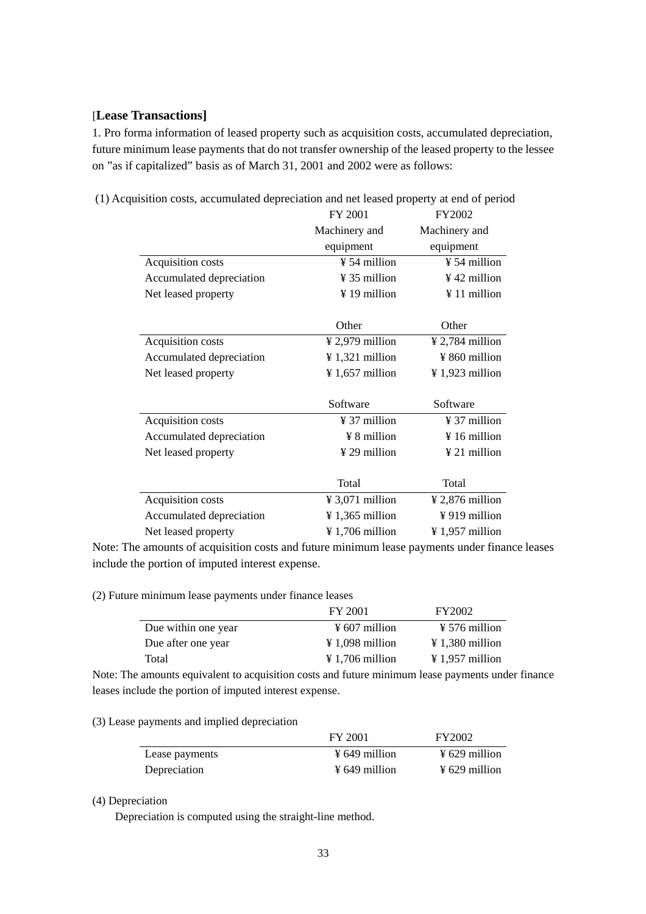# [**Lease Transactions]**

1. Pro forma information of leased property such as acquisition costs, accumulated depreciation, future minimum lease payments that do not transfer ownership of the leased property to the lessee on "as if capitalized" basis as of March 31, 2001 and 2002 were as follows:

|                          | FY 2001                                              | FY2002                      |
|--------------------------|------------------------------------------------------|-----------------------------|
|                          | Machinery and                                        | Machinery and               |
|                          | equipment                                            | equipment                   |
| Acquisition costs        | ¥ 54 million                                         | ¥ 54 million                |
| Accumulated depreciation | ¥ 35 million                                         | $\frac{1}{2}$ 42 million    |
| Net leased property      | ¥ 19 million                                         | ¥ 11 million                |
|                          | Other                                                | Other                       |
| Acquisition costs        | $\frac{1}{2}$ 2,979 million                          | $\frac{1}{2}$ 2,784 million |
| Accumulated depreciation | $\frac{1}{2}$ 1,321 million                          | ¥ 860 million               |
| Net leased property      | $\frac{1}{2}$ 1,657 million                          | $\frac{1}{2}$ 1,923 million |
|                          | Software                                             | Software                    |
| Acquisition costs        | ¥ 37 million                                         | $\frac{1}{2}$ 37 million    |
| Accumulated depreciation | $\frac{1}{2}$ 8 million                              | $\frac{1}{2}$ 16 million    |
| Net leased property      | ¥ 29 million                                         | ¥ 21 million                |
|                          | Total                                                | Total                       |
| Acquisition costs        | $\textnormal{\texttt{4}}3,071 \textnormal{ million}$ | $\frac{1}{2}$ 2,876 million |
| Accumulated depreciation | $\frac{1}{2}$ 1,365 million                          | ¥919 million                |
| Net leased property      | $\frac{1}{2}$ 1,706 million                          | ¥ 1,957 million             |

(1) Acquisition costs, accumulated depreciation and net leased property at end of period

Note: The amounts of acquisition costs and future minimum lease payments under finance leases include the portion of imputed interest expense.

(2) Future minimum lease payments under finance leases

|                     | FY 2001                     | FY2002                    |
|---------------------|-----------------------------|---------------------------|
| Due within one year | $\frac{1}{2}$ 607 million   | $\frac{1}{2}$ 576 million |
| Due after one year  | $\frac{1}{2}$ 1,098 million | $\angle 1.380$ million    |
| Total               | $\angle 1,706$ million      | $\angle 1.957$ million    |

Note: The amounts equivalent to acquisition costs and future minimum lease payments under finance leases include the portion of imputed interest expense.

# (3) Lease payments and implied depreciation

|                | FY 2001                   | FY2002                    |
|----------------|---------------------------|---------------------------|
| Lease payments | $\frac{1}{2}$ 649 million | $\frac{1}{2}$ 629 million |
| Depreciation   | $\frac{1}{2}$ 649 million | $\frac{1}{2}$ 629 million |

#### (4) Depreciation

Depreciation is computed using the straight-line method.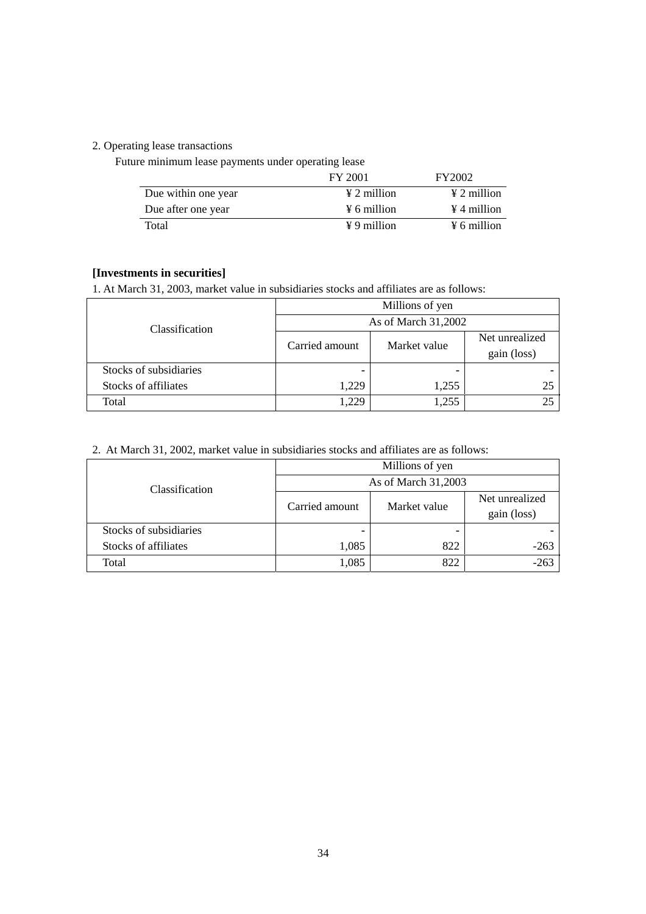# 2. Operating lease transactions

Future minimum lease payments under operating lease

|                     | FY 2001                 | FY2002                  |
|---------------------|-------------------------|-------------------------|
| Due within one year | $\angle 2$ million      | $\angle 2$ million      |
| Due after one year  | $\frac{1}{2}$ 6 million | $\angle 4$ million      |
| Total               | $\angle 9$ million      | $\frac{1}{2}$ 6 million |

# **[Investments in securities]**

1. At March 31, 2003, market value in subsidiaries stocks and affiliates are as follows:

| Classification         | Millions of yen     |              |                               |
|------------------------|---------------------|--------------|-------------------------------|
|                        | As of March 31,2002 |              |                               |
|                        | Carried amount      | Market value | Net unrealized<br>gain (loss) |
| Stocks of subsidiaries |                     |              |                               |
| Stocks of affiliates   | 1,229               | 1,255        | 25                            |
| Total                  | 1,229               | 1,255        |                               |

2. At March 31, 2002, market value in subsidiaries stocks and affiliates are as follows:

|                        | Millions of yen     |              |                |
|------------------------|---------------------|--------------|----------------|
| Classification         | As of March 31,2003 |              |                |
|                        | Carried amount      | Market value | Net unrealized |
|                        |                     |              | gain (loss)    |
| Stocks of subsidiaries |                     |              |                |
| Stocks of affiliates   | 1,085               | 822          | $-263$         |
| Total                  | 1,085               | 822          | $-263$         |